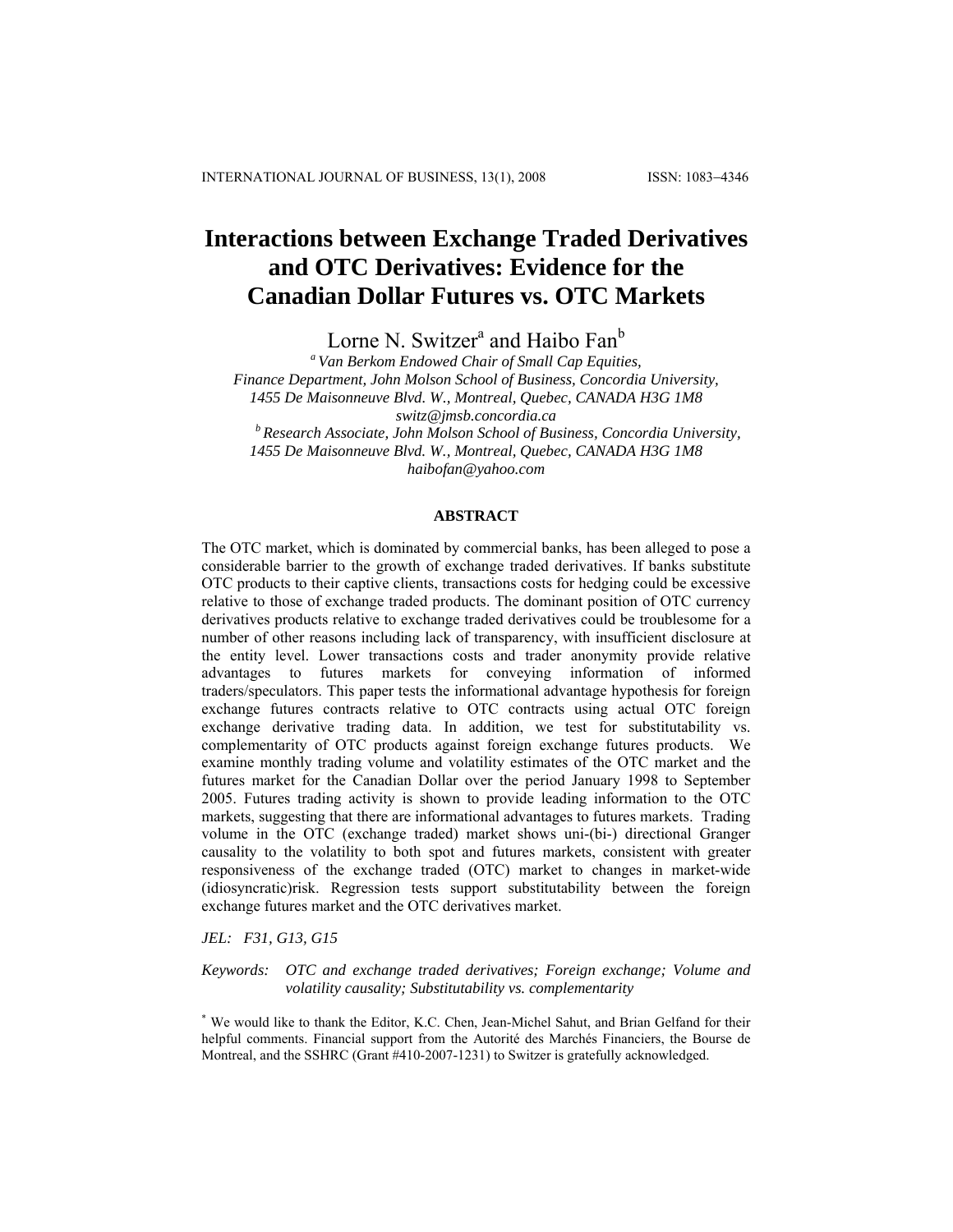# **Interactions between Exchange Traded Derivatives and OTC Derivatives: Evidence for the Canadian Dollar Futures vs. OTC Markets**

Lorne N. Switzer<sup>a</sup> and Haibo Fan<sup>b</sup>

*a Van Berkom Endowed Chair of Small Cap Equities, Finance Department, John Molson School of Business, Concordia University, 1455 De Maisonneuve Blvd. W., Montreal, Quebec, CANADA H3G 1M8 [switz@jmsb.concordia.ca](mailto:switz@jmsb.concordia.ca) b Research Associate, John Molson School of Business, Concordia University, 1455 De Maisonneuve Blvd. W., Montreal, Quebec, CANADA H3G 1M8* 

*[haibofan@yahoo.com](mailto:haibofan@yahoo.com)*

## **ABSTRACT**

The OTC market, which is dominated by commercial banks, has been alleged to pose a considerable barrier to the growth of exchange traded derivatives. If banks substitute OTC products to their captive clients, transactions costs for hedging could be excessive relative to those of exchange traded products. The dominant position of OTC currency derivatives products relative to exchange traded derivatives could be troublesome for a number of other reasons including lack of transparency, with insufficient disclosure at the entity level. Lower transactions costs and trader anonymity provide relative advantages to futures markets for conveying information of informed traders/speculators. This paper tests the informational advantage hypothesis for foreign exchange futures contracts relative to OTC contracts using actual OTC foreign exchange derivative trading data. In addition, we test for substitutability vs. complementarity of OTC products against foreign exchange futures products. We examine monthly trading volume and volatility estimates of the OTC market and the futures market for the Canadian Dollar over the period January 1998 to September 2005. Futures trading activity is shown to provide leading information to the OTC markets, suggesting that there are informational advantages to futures markets. Trading volume in the OTC (exchange traded) market shows uni-(bi-) directional Granger causality to the volatility to both spot and futures markets, consistent with greater responsiveness of the exchange traded (OTC) market to changes in market-wide (idiosyncratic)risk. Regression tests support substitutability between the foreign exchange futures market and the OTC derivatives market.

*JEL: F31, G13, G15* 

*Keywords: OTC and exchange traded derivatives; Foreign exchange; Volume and volatility causality; Substitutability vs. complementarity* 

\* We would like to thank the Editor, K.C. Chen, Jean-Michel Sahut, and Brian Gelfand for their helpful comments. Financial support from the Autorité des Marchés Financiers, the Bourse de Montreal, and the SSHRC (Grant #410-2007-1231) to Switzer is gratefully acknowledged.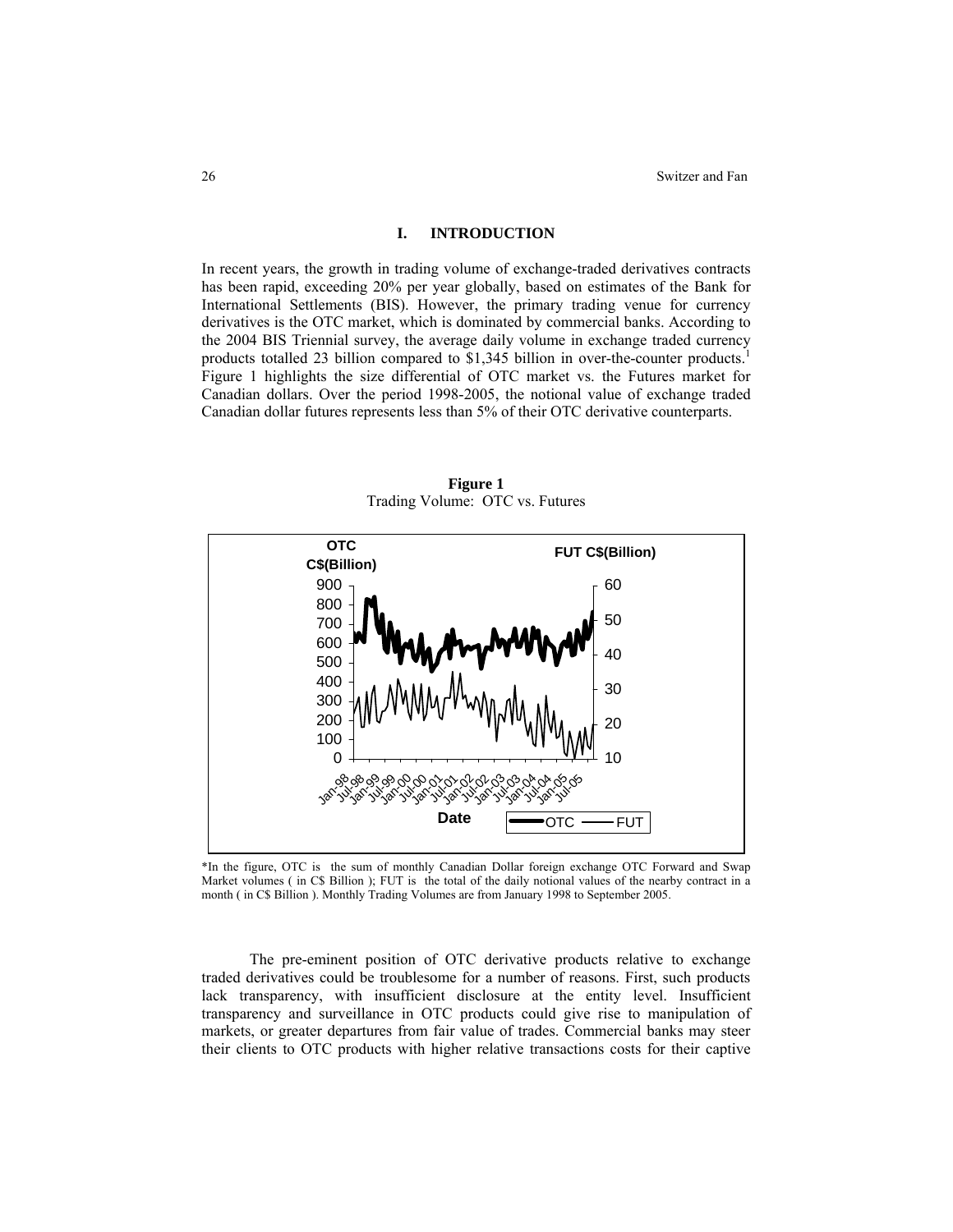## **I. INTRODUCTION**

In recent years, the growth in trading volume of exchange-traded derivatives contracts has been rapid, exceeding 20% per year globally, based on estimates of the Bank for International Settlements (BIS). However, the primary trading venue for currency derivatives is the OTC market, which is dominated by commercial banks. According to the 2004 BIS Triennial survey, the average daily volume in exchange traded currency products totalled 23 billion compared to \$1,345 billion in over-the-counter products.<sup>1</sup> Figure 1 highlights the size differential of OTC market vs. the Futures market for Canadian dollars. Over the period 1998-2005, the notional value of exchange traded Canadian dollar futures represents less than 5% of their OTC derivative counterparts.



**Figure 1**  Trading Volume: OTC vs. Futures

\*In the figure, OTC is the sum of monthly Canadian Dollar foreign exchange OTC Forward and Swap Market volumes ( in C\$ Billion ); FUT is the total of the daily notional values of the nearby contract in a month ( in C\$ Billion ). Monthly Trading Volumes are from January 1998 to September 2005.

 The pre-eminent position of OTC derivative products relative to exchange traded derivatives could be troublesome for a number of reasons. First, such products lack transparency, with insufficient disclosure at the entity level. Insufficient transparency and surveillance in OTC products could give rise to manipulation of markets, or greater departures from fair value of trades. Commercial banks may steer their clients to OTC products with higher relative transactions costs for their captive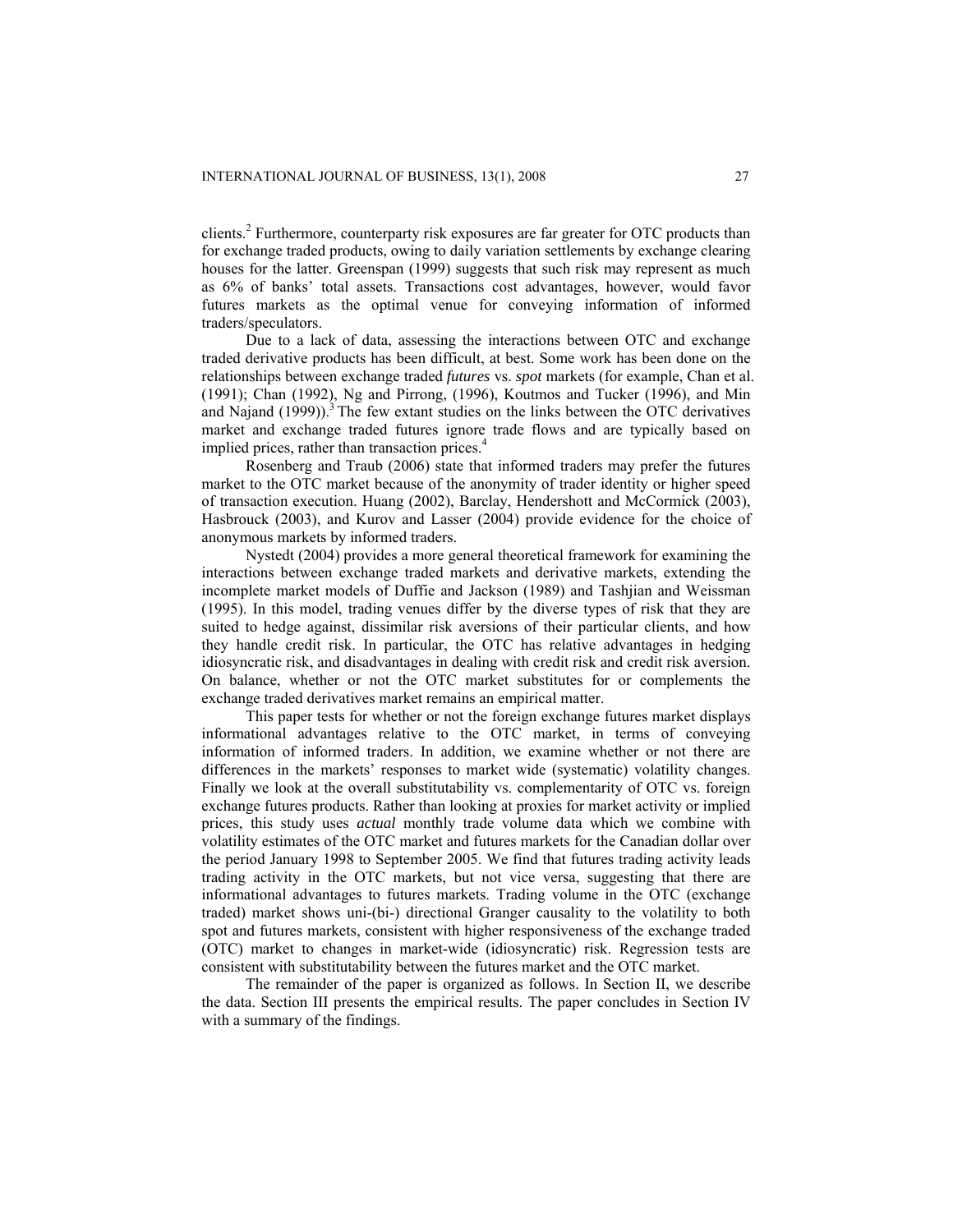clients.<sup>2</sup> Furthermore, counterparty risk exposures are far greater for OTC products than for exchange traded products, owing to daily variation settlements by exchange clearing houses for the latter. Greenspan (1999) suggests that such risk may represent as much as 6% of banks' total assets. Transactions cost advantages, however, would favor futures markets as the optimal venue for conveying information of informed traders/speculators.

Due to a lack of data, assessing the interactions between OTC and exchange traded derivative products has been difficult, at best. Some work has been done on the relationships between exchange traded *futures* vs. *spot* markets (for example, Chan et al. (1991); Chan (1992), Ng and Pirrong, (1996), Koutmos and Tucker (1996), and Min and Najand  $(1999)$ ).<sup>3</sup> The few extant studies on the links between the OTC derivatives market and exchange traded futures ignore trade flows and are typically based on implied prices, rather than transaction prices.<sup>4</sup>

Rosenberg and Traub (2006) state that informed traders may prefer the futures market to the OTC market because of the anonymity of trader identity or higher speed of transaction execution. Huang (2002), Barclay, Hendershott and McCormick (2003), Hasbrouck (2003), and Kurov and Lasser (2004) provide evidence for the choice of anonymous markets by informed traders.

Nystedt (2004) provides a more general theoretical framework for examining the interactions between exchange traded markets and derivative markets, extending the incomplete market models of Duffie and Jackson (1989) and Tashjian and Weissman (1995). In this model, trading venues differ by the diverse types of risk that they are suited to hedge against, dissimilar risk aversions of their particular clients, and how they handle credit risk. In particular, the OTC has relative advantages in hedging idiosyncratic risk, and disadvantages in dealing with credit risk and credit risk aversion. On balance, whether or not the OTC market substitutes for or complements the exchange traded derivatives market remains an empirical matter.

This paper tests for whether or not the foreign exchange futures market displays informational advantages relative to the OTC market, in terms of conveying information of informed traders. In addition, we examine whether or not there are differences in the markets' responses to market wide (systematic) volatility changes. Finally we look at the overall substitutability vs. complementarity of OTC vs. foreign exchange futures products. Rather than looking at proxies for market activity or implied prices, this study uses *actual* monthly trade volume data which we combine with volatility estimates of the OTC market and futures markets for the Canadian dollar over the period January 1998 to September 2005. We find that futures trading activity leads trading activity in the OTC markets, but not vice versa, suggesting that there are informational advantages to futures markets. Trading volume in the OTC (exchange traded) market shows uni-(bi-) directional Granger causality to the volatility to both spot and futures markets, consistent with higher responsiveness of the exchange traded (OTC) market to changes in market-wide (idiosyncratic) risk. Regression tests are consistent with substitutability between the futures market and the OTC market.

The remainder of the paper is organized as follows. In Section II, we describe the data. Section III presents the empirical results. The paper concludes in Section IV with a summary of the findings.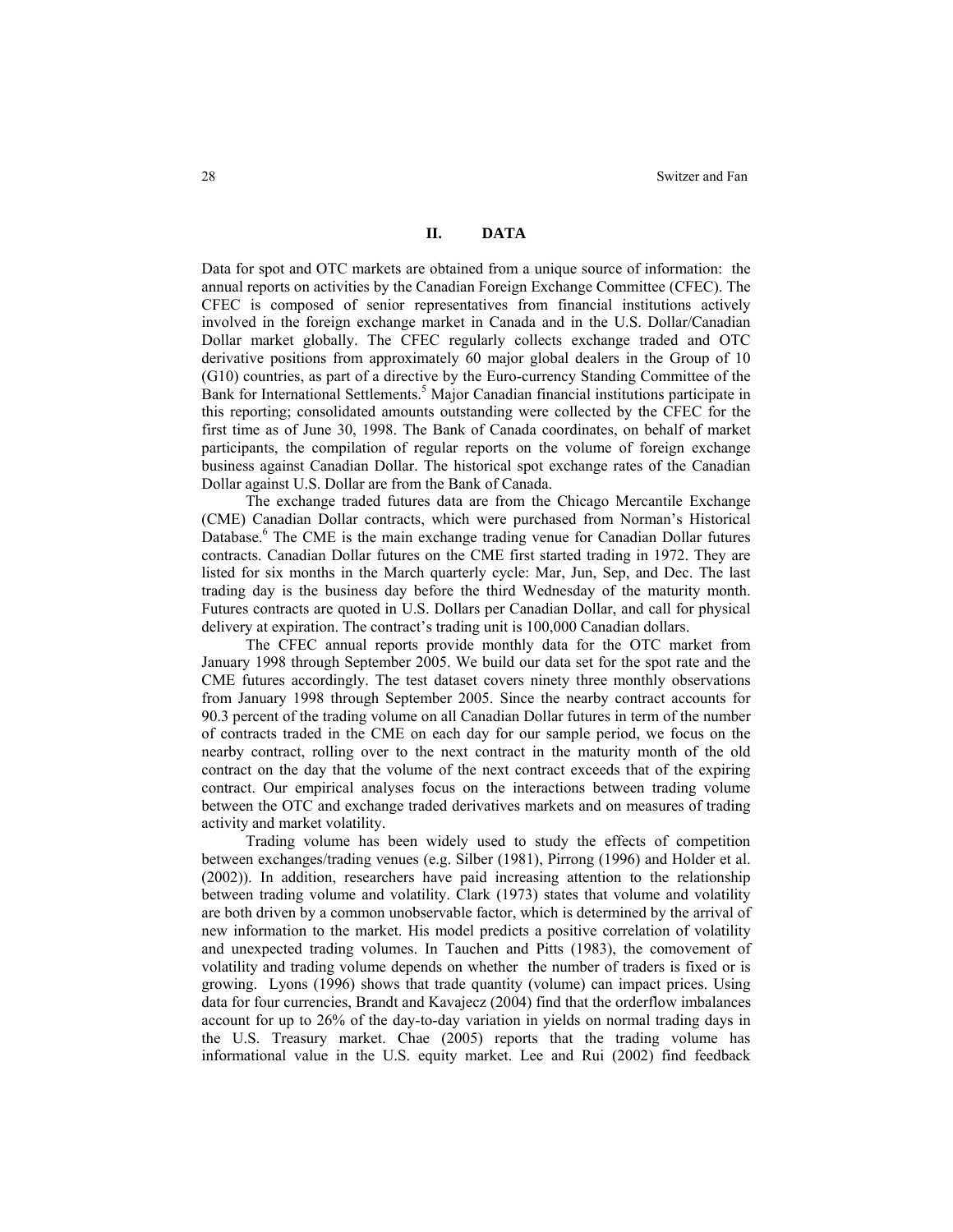## **II. DATA**

Data for spot and OTC markets are obtained from a unique source of information: the annual reports on activities by the Canadian Foreign Exchange Committee (CFEC). The CFEC is composed of senior representatives from financial institutions actively involved in the foreign exchange market in Canada and in the U.S. Dollar/Canadian Dollar market globally. The CFEC regularly collects exchange traded and OTC derivative positions from approximately 60 major global dealers in the Group of 10 (G10) countries, as part of a directive by the Euro-currency Standing Committee of the Bank for International Settlements.<sup>5</sup> Major Canadian financial institutions participate in this reporting; consolidated amounts outstanding were collected by the CFEC for the first time as of June 30, 1998. The Bank of Canada coordinates, on behalf of market participants, the compilation of regular reports on the volume of foreign exchange business against Canadian Dollar. The historical spot exchange rates of the Canadian Dollar against U.S. Dollar are from the Bank of Canada.

The exchange traded futures data are from the Chicago Mercantile Exchange (CME) Canadian Dollar contracts, which were purchased from Norman's Historical Database.<sup>6</sup> The CME is the main exchange trading venue for Canadian Dollar futures contracts. Canadian Dollar futures on the CME first started trading in 1972. They are listed for six months in the March quarterly cycle: Mar, Jun, Sep, and Dec. The last trading day is the business day before the third Wednesday of the maturity month. Futures contracts are quoted in U.S. Dollars per Canadian Dollar, and call for physical delivery at expiration. The contract's trading unit is 100,000 Canadian dollars.

The CFEC annual reports provide monthly data for the OTC market from January 1998 through September 2005. We build our data set for the spot rate and the CME futures accordingly. The test dataset covers ninety three monthly observations from January 1998 through September 2005. Since the nearby contract accounts for 90.3 percent of the trading volume on all Canadian Dollar futures in term of the number of contracts traded in the CME on each day for our sample period, we focus on the nearby contract, rolling over to the next contract in the maturity month of the old contract on the day that the volume of the next contract exceeds that of the expiring contract. Our empirical analyses focus on the interactions between trading volume between the OTC and exchange traded derivatives markets and on measures of trading activity and market volatility.

Trading volume has been widely used to study the effects of competition between exchanges/trading venues (e.g. Silber (1981), Pirrong (1996) and Holder et al. (2002)). In addition, researchers have paid increasing attention to the relationship between trading volume and volatility. Clark (1973) states that volume and volatility are both driven by a common unobservable factor, which is determined by the arrival of new information to the market. His model predicts a positive correlation of volatility and unexpected trading volumes. In Tauchen and Pitts (1983), the comovement of volatility and trading volume depends on whether the number of traders is fixed or is growing. Lyons (1996) shows that trade quantity (volume) can impact prices. Using data for four currencies, Brandt and Kavajecz (2004) find that the orderflow imbalances account for up to 26% of the day-to-day variation in yields on normal trading days in the U.S. Treasury market. Chae (2005) reports that the trading volume has informational value in the U.S. equity market. Lee and Rui (2002) find feedback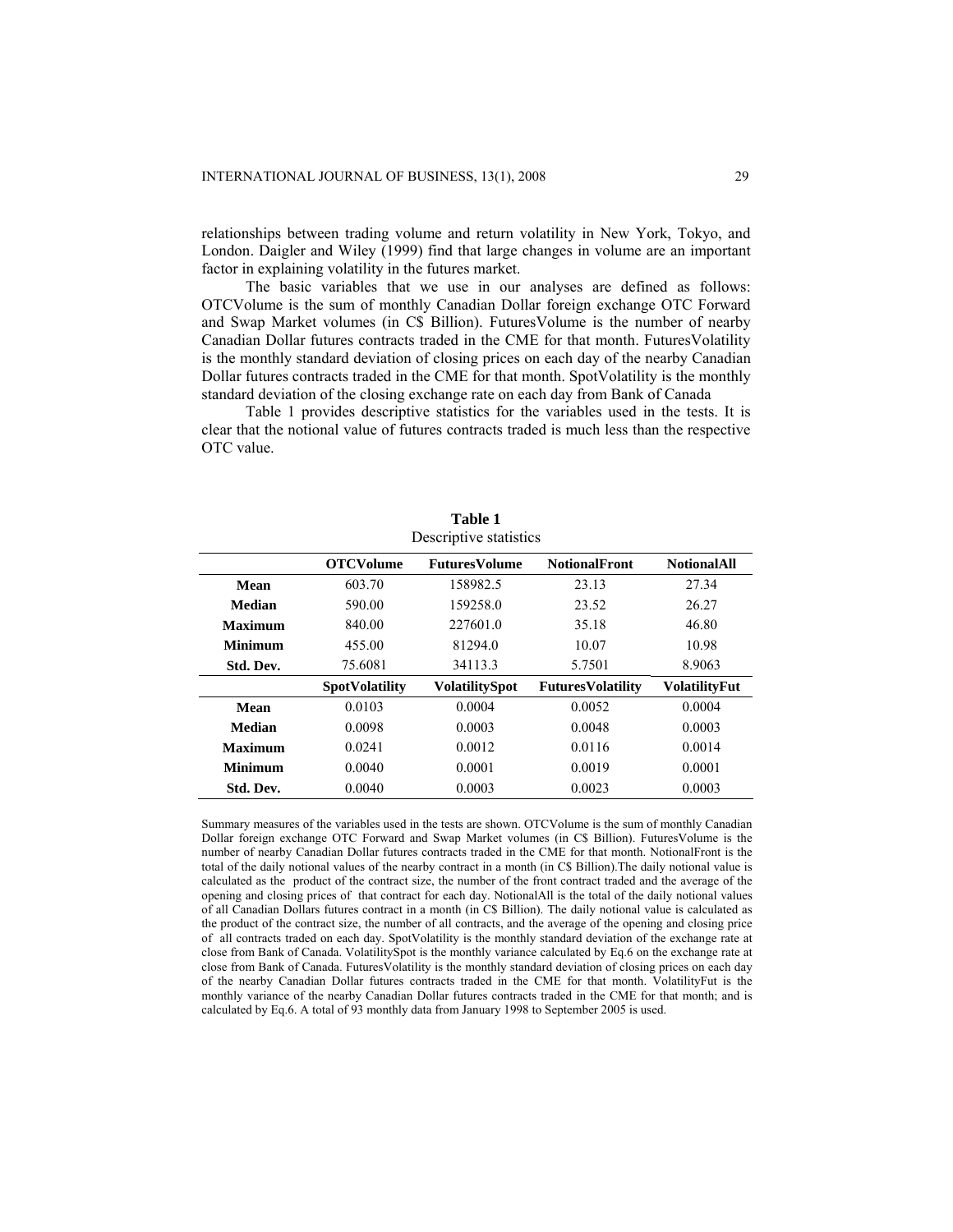relationships between trading volume and return volatility in New York, Tokyo, and London. Daigler and Wiley (1999) find that large changes in volume are an important factor in explaining volatility in the futures market.

The basic variables that we use in our analyses are defined as follows: OTCVolume is the sum of monthly Canadian Dollar foreign exchange OTC Forward and Swap Market volumes (in C\$ Billion). FuturesVolume is the number of nearby Canadian Dollar futures contracts traded in the CME for that month. FuturesVolatility is the monthly standard deviation of closing prices on each day of the nearby Canadian Dollar futures contracts traded in the CME for that month. SpotVolatility is the monthly standard deviation of the closing exchange rate on each day from Bank of Canada

Table 1 provides descriptive statistics for the variables used in the tests. It is clear that the notional value of futures contracts traded is much less than the respective OTC value.

**Table 1**

| Descriptive statistics |                       |                       |                          |                      |  |  |
|------------------------|-----------------------|-----------------------|--------------------------|----------------------|--|--|
|                        | <b>OTCVolume</b>      | <b>FuturesVolume</b>  | <b>NotionalFront</b>     | <b>NotionalAll</b>   |  |  |
| Mean                   | 603.70                | 158982.5              | 23.13                    | 27.34                |  |  |
| <b>Median</b>          | 590.00                | 159258.0              | 23.52                    | 26.27                |  |  |
| <b>Maximum</b>         | 840.00                | 227601.0              | 35.18                    | 46.80                |  |  |
| 455.00<br>Minimum      |                       | 81294.0               | 10.07                    | 10.98                |  |  |
| Std. Dev.              | 75.6081               | 34113.3               | 5.7501                   | 8.9063               |  |  |
|                        | <b>SpotVolatility</b> | <b>VolatilitySpot</b> | <b>FuturesVolatility</b> | <b>VolatilityFut</b> |  |  |
| Mean                   | 0.0103                | 0.0004                | 0.0052                   | 0.0004               |  |  |
| Median                 | 0.0098                | 0.0003                | 0.0048                   | 0.0003               |  |  |
| <b>Maximum</b>         | 0.0241                | 0.0012                | 0.0116                   | 0.0014               |  |  |
| Minimum                | 0.0040                | 0.0001                | 0.0019                   | 0.0001               |  |  |
| Std. Dev.              | 0.0040                | 0.0003                | 0.0023                   | 0.0003               |  |  |

Summary measures of the variables used in the tests are shown. OTCVolume is the sum of monthly Canadian Dollar foreign exchange OTC Forward and Swap Market volumes (in C\$ Billion). FuturesVolume is the number of nearby Canadian Dollar futures contracts traded in the CME for that month. NotionalFront is the total of the daily notional values of the nearby contract in a month (in C\$ Billion).The daily notional value is calculated as the product of the contract size, the number of the front contract traded and the average of the opening and closing prices of that contract for each day. NotionalAll is the total of the daily notional values of all Canadian Dollars futures contract in a month (in C\$ Billion). The daily notional value is calculated as the product of the contract size, the number of all contracts, and the average of the opening and closing price of all contracts traded on each day. SpotVolatility is the monthly standard deviation of the exchange rate at close from Bank of Canada. VolatilitySpot is the monthly variance calculated by Eq.6 on the exchange rate at close from Bank of Canada. FuturesVolatility is the monthly standard deviation of closing prices on each day of the nearby Canadian Dollar futures contracts traded in the CME for that month. VolatilityFut is the monthly variance of the nearby Canadian Dollar futures contracts traded in the CME for that month; and is calculated by Eq.6. A total of 93 monthly data from January 1998 to September 2005 is used.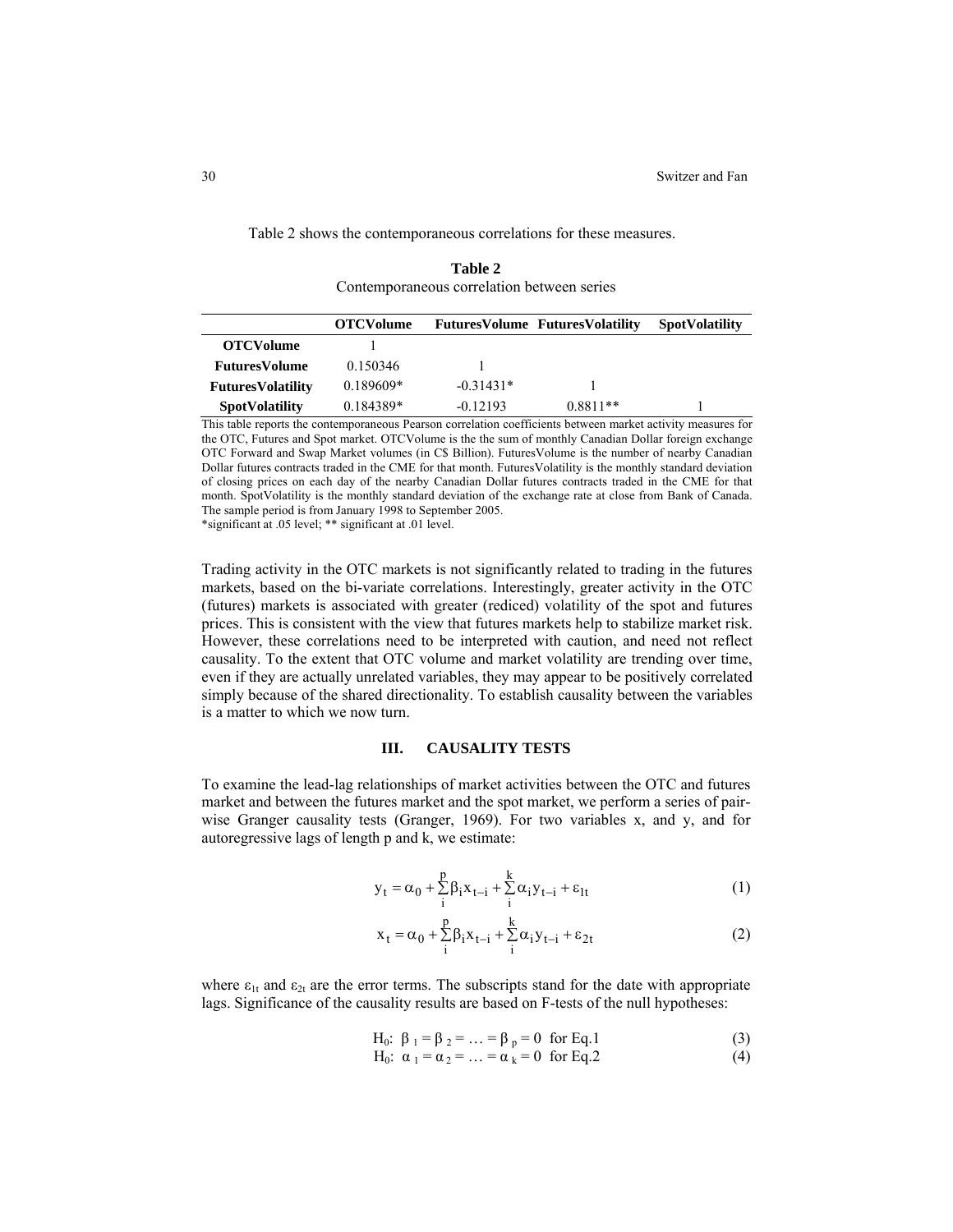|                          | Tadie 2<br>Contemporaneous correlation between series |             |                                        |                       |  |  |  |
|--------------------------|-------------------------------------------------------|-------------|----------------------------------------|-----------------------|--|--|--|
|                          | <b>OTCVolume</b>                                      |             | <b>FuturesVolume FuturesVolatility</b> | <b>SpotVolatility</b> |  |  |  |
| <b>OTCVolume</b>         |                                                       |             |                                        |                       |  |  |  |
| <b>FuturesVolume</b>     | 0.150346                                              |             |                                        |                       |  |  |  |
| <b>FuturesVolatility</b> | $0.189609*$                                           | $-0.31431*$ |                                        |                       |  |  |  |
| <b>SpotVolatility</b>    | 0.184389*                                             | $-0.12193$  | $0.8811**$                             |                       |  |  |  |

**Table 2** 

Table 2 shows the contemporaneous correlations for these measures.

This table reports the contemporaneous Pearson correlation coefficients between market activity measures for the OTC, Futures and Spot market. OTCVolume is the the sum of monthly Canadian Dollar foreign exchange OTC Forward and Swap Market volumes (in C\$ Billion). FuturesVolume is the number of nearby Canadian Dollar futures contracts traded in the CME for that month. FuturesVolatility is the monthly standard deviation of closing prices on each day of the nearby Canadian Dollar futures contracts traded in the CME for that month. SpotVolatility is the monthly standard deviation of the exchange rate at close from Bank of Canada. The sample period is from January 1998 to September 2005.

\*significant at .05 level; \*\* significant at .01 level.

Trading activity in the OTC markets is not significantly related to trading in the futures markets, based on the bi-variate correlations. Interestingly, greater activity in the OTC (futures) markets is associated with greater (rediced) volatility of the spot and futures prices. This is consistent with the view that futures markets help to stabilize market risk. However, these correlations need to be interpreted with caution, and need not reflect causality. To the extent that OTC volume and market volatility are trending over time, even if they are actually unrelated variables, they may appear to be positively correlated simply because of the shared directionality. To establish causality between the variables is a matter to which we now turn.

# **III. CAUSALITY TESTS**

To examine the lead-lag relationships of market activities between the OTC and futures market and between the futures market and the spot market, we perform a series of pairwise Granger causality tests (Granger, 1969). For two variables x, and y, and for autoregressive lags of length p and k, we estimate:

$$
\mathbf{y}_{t} = \alpha_0 + \sum_{i}^{p} \beta_i \mathbf{x}_{t-i} + \sum_{i}^{k} \alpha_i \mathbf{y}_{t-i} + \varepsilon_{lt}
$$
 (1)

$$
x_t = \alpha_0 + \sum_{i}^{p} \beta_i x_{t-i} + \sum_{i}^{k} \alpha_i y_{t-i} + \varepsilon_{2t}
$$
 (2)

where  $\varepsilon_{1t}$  and  $\varepsilon_{2t}$  are the error terms. The subscripts stand for the date with appropriate lags. Significance of the causality results are based on F-tests of the null hypotheses:

H<sub>0</sub>: 
$$
\beta_1 = \beta_2 = ... = \beta_p = 0
$$
 for Eq. 1 (3)

H<sub>0</sub>: 
$$
\alpha_1 = \alpha_2 = ... = \alpha_k = 0
$$
 for Eq.2 (4)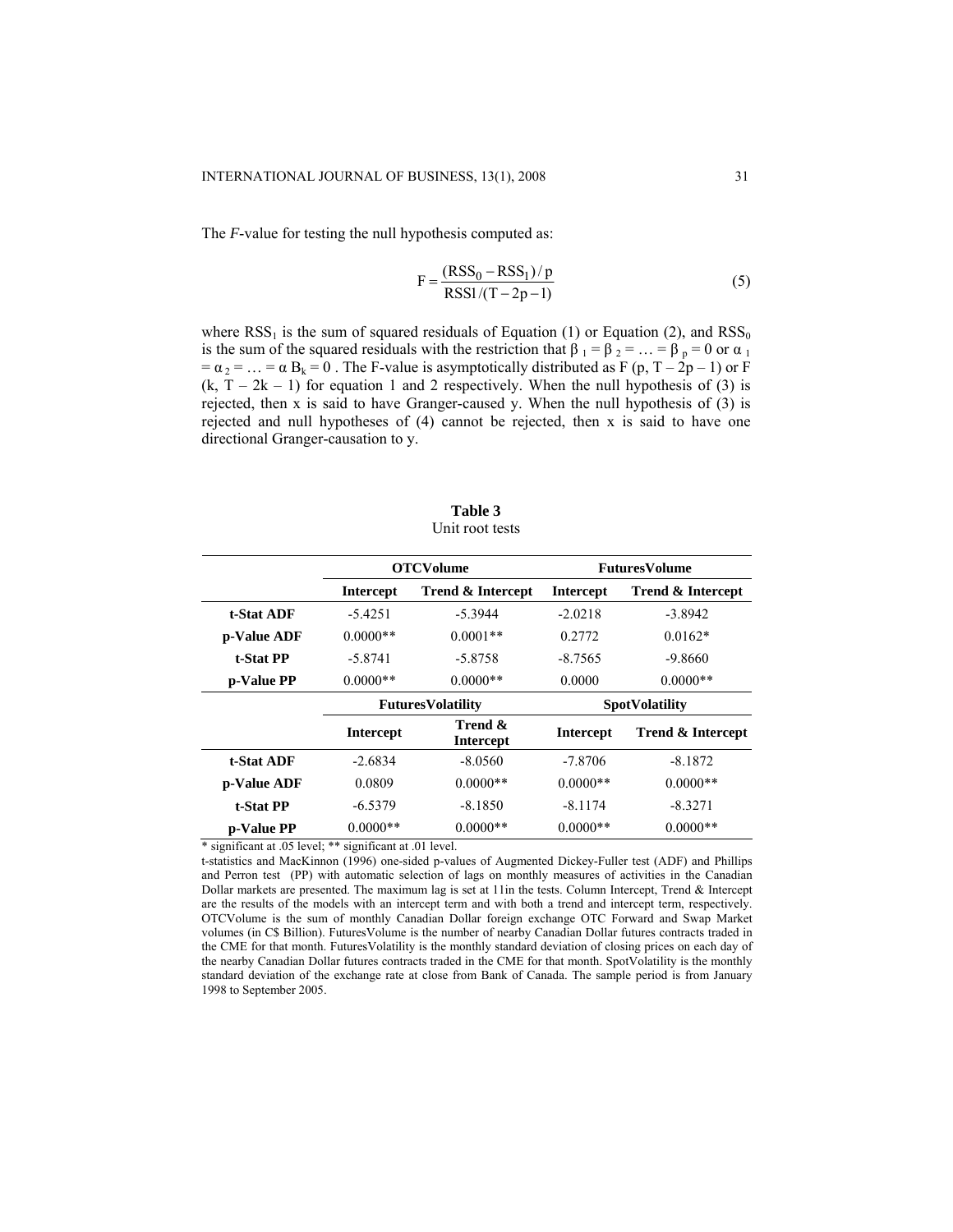The *F*-value for testing the null hypothesis computed as:

$$
F = \frac{(RSS_0 - RSS_1)/p}{RSS1/(T - 2p - 1)}
$$
(5)

where  $RSS<sub>1</sub>$  is the sum of squared residuals of Equation (1) or Equation (2), and  $RSS<sub>0</sub>$ is the sum of the squared residuals with the restriction that  $\beta_1 = \beta_2 = ... = \beta_p = 0$  or  $\alpha_1$  $= \alpha_2 = ... = \alpha B_k = 0$ . The F-value is asymptotically distributed as F (p, T – 2p – 1) or F  $(k, T - 2k - 1)$  for equation 1 and 2 respectively. When the null hypothesis of (3) is rejected, then x is said to have Granger-caused y. When the null hypothesis of (3) is rejected and null hypotheses of (4) cannot be rejected, then x is said to have one directional Granger-causation to y.

| Table 3         |
|-----------------|
| Unit root tests |

|                   |                          | <b>OTCVolume</b>             |                       | <b>FuturesVolume</b>         |  |
|-------------------|--------------------------|------------------------------|-----------------------|------------------------------|--|
|                   | <b>Intercept</b>         | <b>Trend &amp; Intercept</b> | <b>Intercept</b>      | <b>Trend &amp; Intercept</b> |  |
| t-Stat ADF        | $-5.4251$                | $-5.3944$                    | $-2.0218$             | $-3.8942$                    |  |
| p-Value ADF       | $0.0000**$               | $0.0001**$                   | 0.2772                | $0.0162*$                    |  |
| t-Stat PP         | $-5.8741$                | $-5.8758$                    | $-8.7565$             | -9.8660                      |  |
| p-Value PP        | $0.0000**$               | $0.0000**$                   | 0.0000                | $0.0000**$                   |  |
|                   | <b>FuturesVolatility</b> |                              | <b>SpotVolatility</b> |                              |  |
|                   | <b>Intercept</b>         | Trend &<br><b>Intercept</b>  | <b>Intercept</b>      | <b>Trend &amp; Intercept</b> |  |
| <b>t-Stat ADF</b> | $-2.6834$                | $-8.0560$                    | $-7.8706$             | $-8.1872$                    |  |
| p-Value ADF       | 0.0809                   | $0.0000**$                   | $0.0000**$            | $0.0000**$                   |  |
| t-Stat PP         | $-6.5379$                | $-8.1850$                    | $-8.1174$             | $-8.3271$                    |  |
| p-Value PP        | $0.0000**$               | $0.0000**$                   | $0.0000**$            | $0.0000**$                   |  |

\* significant at .05 level; \*\* significant at .01 level.

t-statistics and MacKinnon (1996) one-sided p-values of Augmented Dickey-Fuller test (ADF) and Phillips and Perron test (PP) with automatic selection of lags on monthly measures of activities in the Canadian Dollar markets are presented. The maximum lag is set at 11in the tests. Column Intercept, Trend & Intercept are the results of the models with an intercept term and with both a trend and intercept term, respectively. OTCVolume is the sum of monthly Canadian Dollar foreign exchange OTC Forward and Swap Market volumes (in C\$ Billion). FuturesVolume is the number of nearby Canadian Dollar futures contracts traded in the CME for that month. FuturesVolatility is the monthly standard deviation of closing prices on each day of the nearby Canadian Dollar futures contracts traded in the CME for that month. SpotVolatility is the monthly standard deviation of the exchange rate at close from Bank of Canada. The sample period is from January 1998 to September 2005.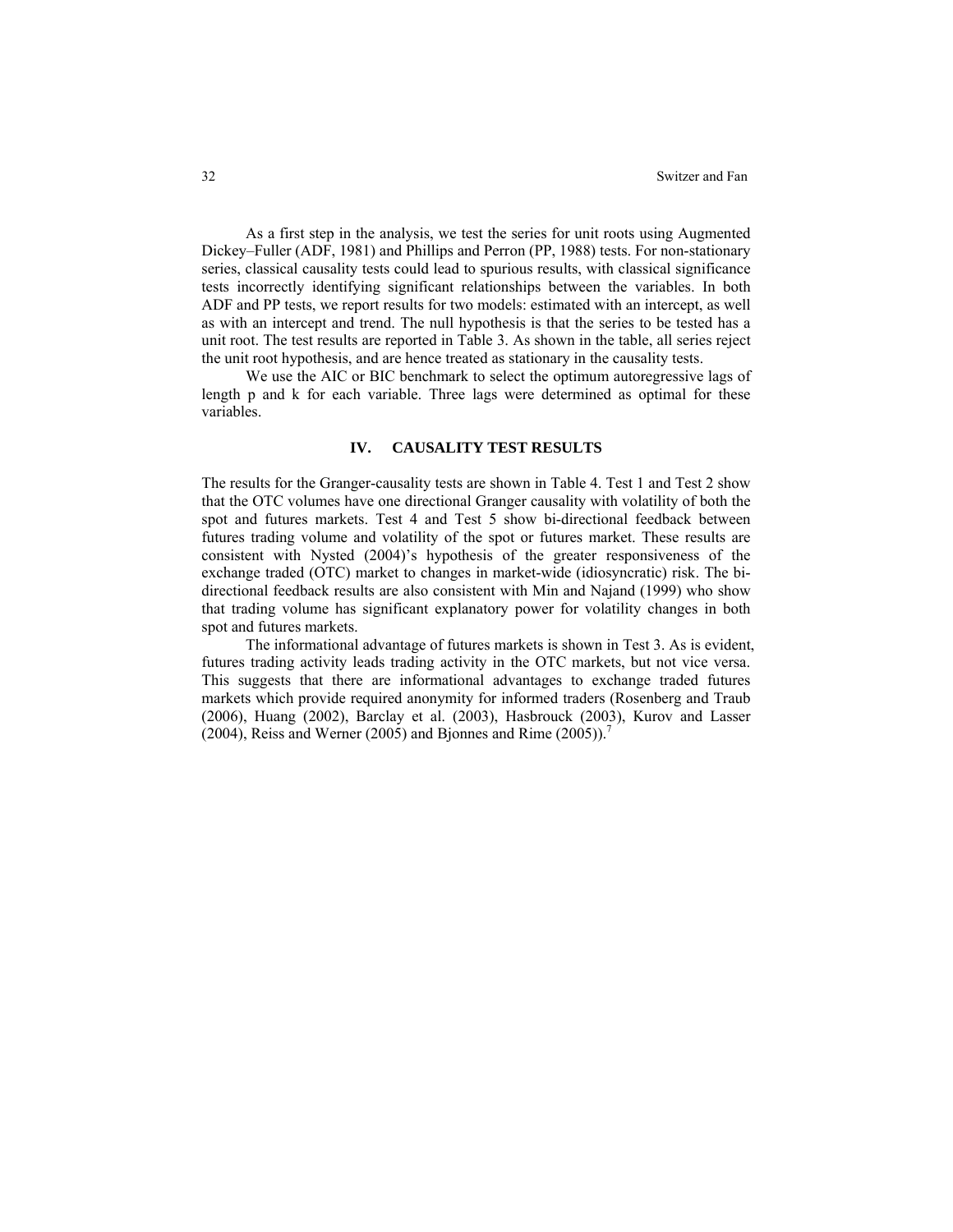As a first step in the analysis, we test the series for unit roots using Augmented Dickey–Fuller (ADF, 1981) and Phillips and Perron (PP, 1988) tests. For non-stationary series, classical causality tests could lead to spurious results, with classical significance tests incorrectly identifying significant relationships between the variables. In both ADF and PP tests, we report results for two models: estimated with an intercept, as well as with an intercept and trend. The null hypothesis is that the series to be tested has a unit root. The test results are reported in Table 3. As shown in the table, all series reject the unit root hypothesis, and are hence treated as stationary in the causality tests.

We use the AIC or BIC benchmark to select the optimum autoregressive lags of length p and k for each variable. Three lags were determined as optimal for these variables.

### **IV. CAUSALITY TEST RESULTS**

The results for the Granger-causality tests are shown in Table 4. Test 1 and Test 2 show that the OTC volumes have one directional Granger causality with volatility of both the spot and futures markets. Test 4 and Test 5 show bi-directional feedback between futures trading volume and volatility of the spot or futures market. These results are consistent with Nysted (2004)'s hypothesis of the greater responsiveness of the exchange traded (OTC) market to changes in market-wide (idiosyncratic) risk. The bidirectional feedback results are also consistent with Min and Najand (1999) who show that trading volume has significant explanatory power for volatility changes in both spot and futures markets.

The informational advantage of futures markets is shown in Test 3. As is evident, futures trading activity leads trading activity in the OTC markets, but not vice versa. This suggests that there are informational advantages to exchange traded futures markets which provide required anonymity for informed traders (Rosenberg and Traub (2006), Huang (2002), Barclay et al. (2003), Hasbrouck (2003), Kurov and Lasser (2004), Reiss and Werner (2005) and Bjonnes and Rime  $(2005)$ .<sup>7</sup>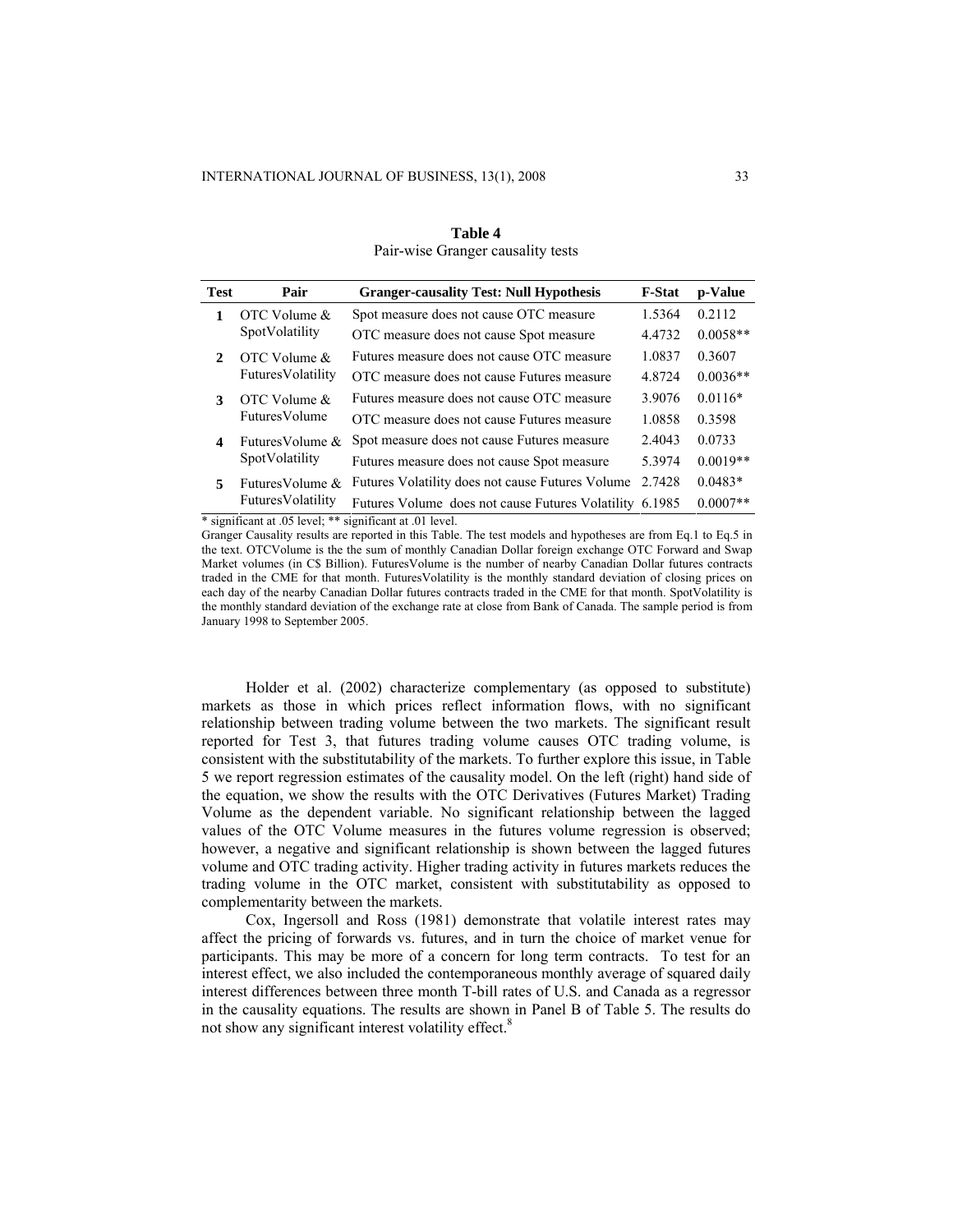| <b>Test</b>    | Pair                 | <b>Granger-causality Test: Null Hypothesis</b>          | <b>F-Stat</b> | p-Value    |
|----------------|----------------------|---------------------------------------------------------|---------------|------------|
| 1              | OTC Volume &         | Spot measure does not cause OTC measure                 | 1.5364        | 0.2112     |
|                | SpotVolatility       | OTC measure does not cause Spot measure                 | 4.4732        | $0.0058**$ |
| 2              | OTC Volume $\&$      | Futures measure does not cause OTC measure              | 1.0837        | 0.3607     |
|                | FuturesVolatility    | OTC measure does not cause Futures measure              | 4.8724        | $0.0036**$ |
| 3              | OTC Volume $\&$      | Futures measure does not cause OTC measure              | 3.9076        | $0.0116*$  |
|                | <b>FuturesVolume</b> | OTC measure does not cause Futures measure              | 1.0858        | 0.3598     |
| 4              | Futures Volume $\&$  | Spot measure does not cause Futures measure             | 2.4043        | 0.0733     |
| SpotVolatility |                      | Futures measure does not cause Spot measure             | 5.3974        | $0.0019**$ |
| 5              | Futures Volume $\&$  | Futures Volatility does not cause Futures Volume        | 2.7428        | $0.0483*$  |
|                | FuturesVolatility    | Futures Volume does not cause Futures Volatility 6.1985 |               | $0.0007**$ |

# **Table 4**  Pair-wise Granger causality tests

\* significant at .05 level; \*\* significant at .01 level.

Granger Causality results are reported in this Table. The test models and hypotheses are from Eq.1 to Eq.5 in the text. OTCVolume is the the sum of monthly Canadian Dollar foreign exchange OTC Forward and Swap Market volumes (in C\$ Billion). FuturesVolume is the number of nearby Canadian Dollar futures contracts traded in the CME for that month. FuturesVolatility is the monthly standard deviation of closing prices on each day of the nearby Canadian Dollar futures contracts traded in the CME for that month. SpotVolatility is the monthly standard deviation of the exchange rate at close from Bank of Canada. The sample period is from January 1998 to September 2005.

Holder et al. (2002) characterize complementary (as opposed to substitute) markets as those in which prices reflect information flows, with no significant relationship between trading volume between the two markets. The significant result reported for Test 3, that futures trading volume causes OTC trading volume, is consistent with the substitutability of the markets. To further explore this issue, in Table 5 we report regression estimates of the causality model. On the left (right) hand side of the equation, we show the results with the OTC Derivatives (Futures Market) Trading Volume as the dependent variable. No significant relationship between the lagged values of the OTC Volume measures in the futures volume regression is observed; however, a negative and significant relationship is shown between the lagged futures volume and OTC trading activity. Higher trading activity in futures markets reduces the trading volume in the OTC market, consistent with substitutability as opposed to complementarity between the markets.

Cox, Ingersoll and Ross (1981) demonstrate that volatile interest rates may affect the pricing of forwards vs. futures, and in turn the choice of market venue for participants. This may be more of a concern for long term contracts. To test for an interest effect, we also included the contemporaneous monthly average of squared daily interest differences between three month T-bill rates of U.S. and Canada as a regressor in the causality equations. The results are shown in Panel B of Table 5. The results do not show any significant interest volatility effect.<sup>8</sup>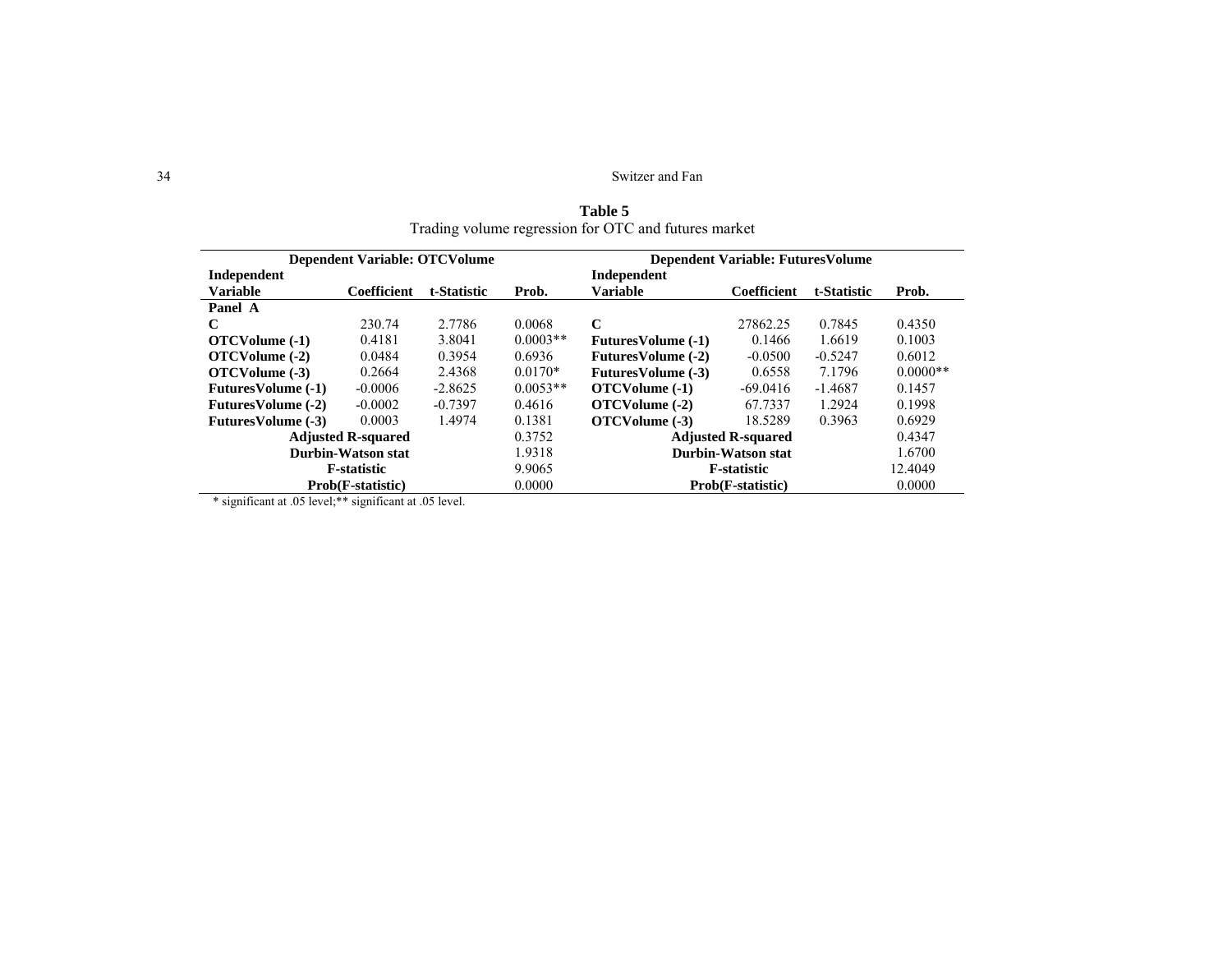34 Switzer and Fan

| Trading Volume regression for OTC and futures market |                           |             |            |                                           |             |             |            |  |
|------------------------------------------------------|---------------------------|-------------|------------|-------------------------------------------|-------------|-------------|------------|--|
| <b>Dependent Variable: OTCVolume</b>                 |                           |             |            | <b>Dependent Variable: Futures Volume</b> |             |             |            |  |
| Independent                                          |                           |             |            | Independent                               |             |             |            |  |
| <b>Variable</b>                                      | Coefficient               | t-Statistic | Prob.      | <b>Variable</b>                           | Coefficient | t-Statistic | Prob.      |  |
| Panel A                                              |                           |             |            |                                           |             |             |            |  |
| C                                                    | 230.74                    | 2.7786      | 0.0068     | C                                         | 27862.25    | 0.7845      | 0.4350     |  |
| OTCVolume (-1)                                       | 0.4181                    | 3.8041      | $0.0003**$ | <b>FuturesVolume (-1)</b>                 | 0.1466      | 1.6619      | 0.1003     |  |
| OTCVolume (-2)                                       | 0.0484                    | 0.3954      | 0.6936     | <b>FuturesVolume (-2)</b>                 | $-0.0500$   | $-0.5247$   | 0.6012     |  |
| OTCVolume (-3)                                       | 0.2664                    | 2.4368      | $0.0170*$  | <b>FuturesVolume (-3)</b>                 | 0.6558      | 7.1796      | $0.0000**$ |  |
| <b>FuturesVolume (-1)</b>                            | $-0.0006$                 | $-2.8625$   | $0.0053**$ | OTCVolume (-1)                            | $-69.0416$  | $-1.4687$   | 0.1457     |  |
| <b>FuturesVolume (-2)</b>                            | $-0.0002$                 | $-0.7397$   | 0.4616     | OTCVolume (-2)                            | 67.7337     | 1.2924      | 0.1998     |  |
| <b>FuturesVolume (-3)</b>                            | 0.0003                    | 1.4974      | 0.1381     | OTCVolume (-3)                            | 18.5289     | 0.3963      | 0.6929     |  |
|                                                      | <b>Adjusted R-squared</b> |             | 0.3752     | <b>Adjusted R-squared</b>                 |             |             | 0.4347     |  |
| Durbin-Watson stat                                   |                           |             | 1.9318     | Durbin-Watson stat                        |             |             | 1.6700     |  |
| <b>F</b> -statistic                                  |                           |             | 9.9065     | <b>F</b> -statistic                       |             |             | 12.4049    |  |
| .                                                    | Prob(F-statistic)         |             | 0.0000     | Prob(F-statistic)                         |             |             | 0.0000     |  |

**Table 5**  Trading volume regression for OTC and futures market

\* significant at .05 level; \*\* significant at .05 level.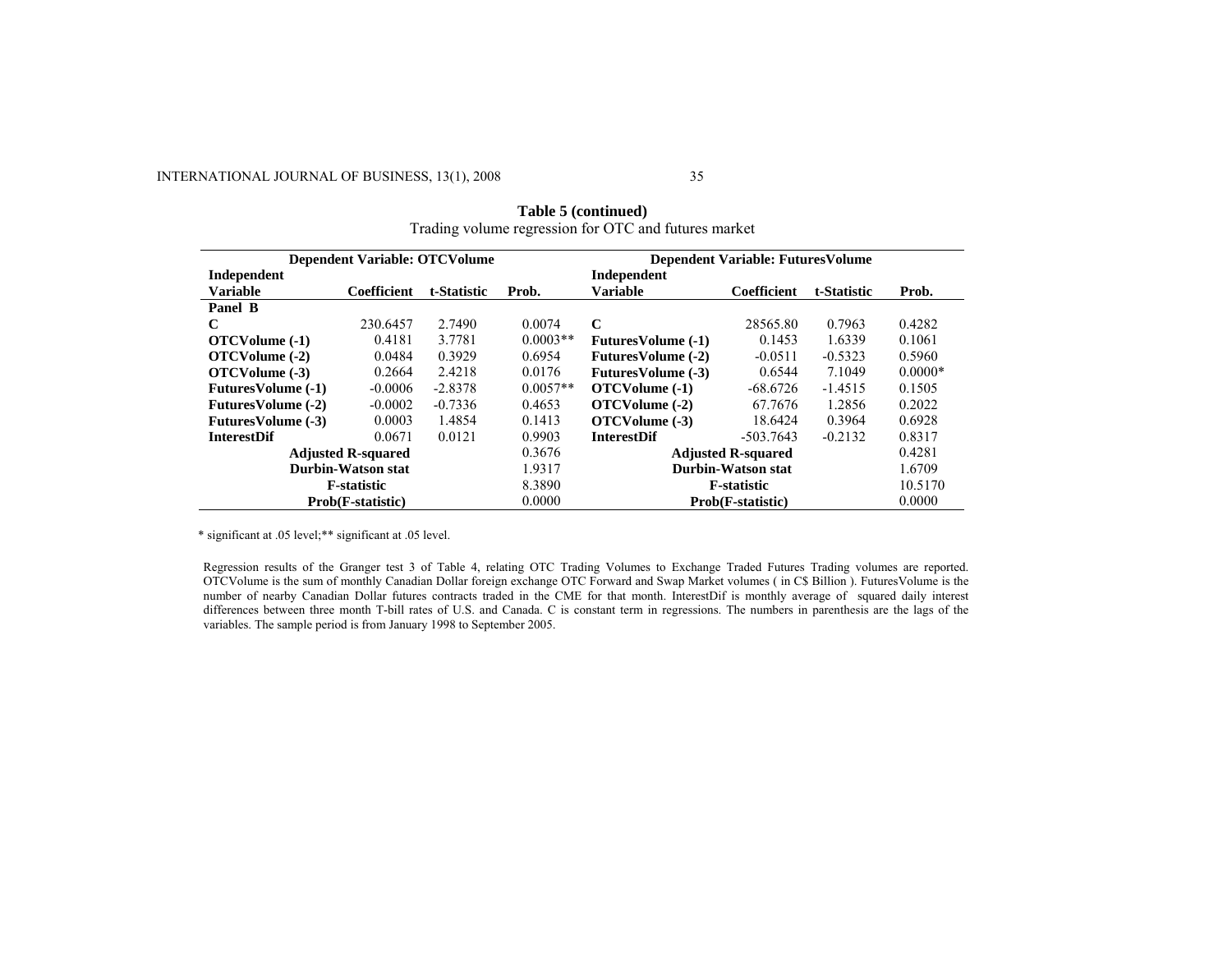# INTERNATIONAL JOURNAL OF BUSINESS, 13(1), 2008

| <b>Dependent Variable: OTCVolume</b> |                                                    |             |                     | <b>Dependent Variable: Futures Volume</b> |                           |             |           |  |
|--------------------------------------|----------------------------------------------------|-------------|---------------------|-------------------------------------------|---------------------------|-------------|-----------|--|
| Independent                          |                                                    |             |                     | Independent                               |                           |             |           |  |
| <b>Variable</b>                      | Coefficient                                        | t-Statistic | Prob.               | <b>Variable</b>                           | Coefficient               | t-Statistic | Prob.     |  |
| Panel B                              |                                                    |             |                     |                                           |                           |             |           |  |
| C                                    | 230.6457                                           | 2.7490      | 0.0074              | $\mathbf C$                               | 28565.80                  | 0.7963      | 0.4282    |  |
| OTCVolume (-1)                       | 0.4181                                             | 3.7781      | $0.0003**$          | <b>FuturesVolume (-1)</b>                 | 0.1453                    | 1.6339      | 0.1061    |  |
| OTCVolume (-2)                       | 0.0484                                             | 0.3929      | 0.6954              | <b>FuturesVolume (-2)</b>                 | $-0.0511$                 | $-0.5323$   | 0.5960    |  |
| OTCVolume (-3)                       | 0.2664                                             | 2.4218      | 0.0176              | <b>FuturesVolume (-3)</b>                 | 0.6544                    | 7.1049      | $0.0000*$ |  |
| <b>FuturesVolume (-1)</b>            | $-0.0006$                                          | $-2.8378$   | $0.0057**$          | OTCVolume (-1)                            | $-68.6726$                | $-1.4515$   | 0.1505    |  |
| <b>FuturesVolume (-2)</b>            | $-0.0002$                                          | $-0.7336$   | 0.4653              | OTCVolume (-2)                            | 67.7676                   | 1.2856      | 0.2022    |  |
| <b>FuturesVolume (-3)</b>            | 0.0003                                             | 1.4854      | 0.1413              | OTCVolume (-3)                            | 18.6424                   | 0.3964      | 0.6928    |  |
| <b>InterestDif</b>                   | 0.0671                                             | 0.0121      | 0.9903              | <b>InterestDif</b>                        | $-503.7643$               | $-0.2132$   | 0.8317    |  |
| 0.3676<br><b>Adjusted R-squared</b>  |                                                    |             |                     |                                           | <b>Adjusted R-squared</b> |             | 0.4281    |  |
|                                      | Durbin-Watson stat<br>Durbin-Watson stat<br>1.9317 |             |                     |                                           | 1.6709                    |             |           |  |
| <b>F</b> -statistic                  |                                                    | 8.3890      | <b>F</b> -statistic |                                           |                           | 10.5170     |           |  |
|                                      | Prob(F-statistic)                                  |             | 0.0000              | Prob(F-statistic)                         |                           |             | 0.0000    |  |

| Table 5 (continued)                                  |
|------------------------------------------------------|
| Trading volume regression for OTC and futures market |

\* significant at .05 level;\*\* significant at .05 level.

Regression results of the Granger test 3 of Table 4, relating OTC Trading Volumes to Exchange Traded Futures Trading volumes are reported. OTCVolume is the sum of monthly Canadian Dollar foreign exchange OTC Forward and Swap Market volumes ( in C\$ Billion ). FuturesVolume is the number of nearby Canadian Dollar futures contracts traded in the CME for that month. InterestDif is monthly average of squared daily interest differences between three month T-bill rates of U.S. and Canada. C is constant term in regressions. The numbers in parenthesis are the lags of the variables. The sample period is from January 1998 to September 2005.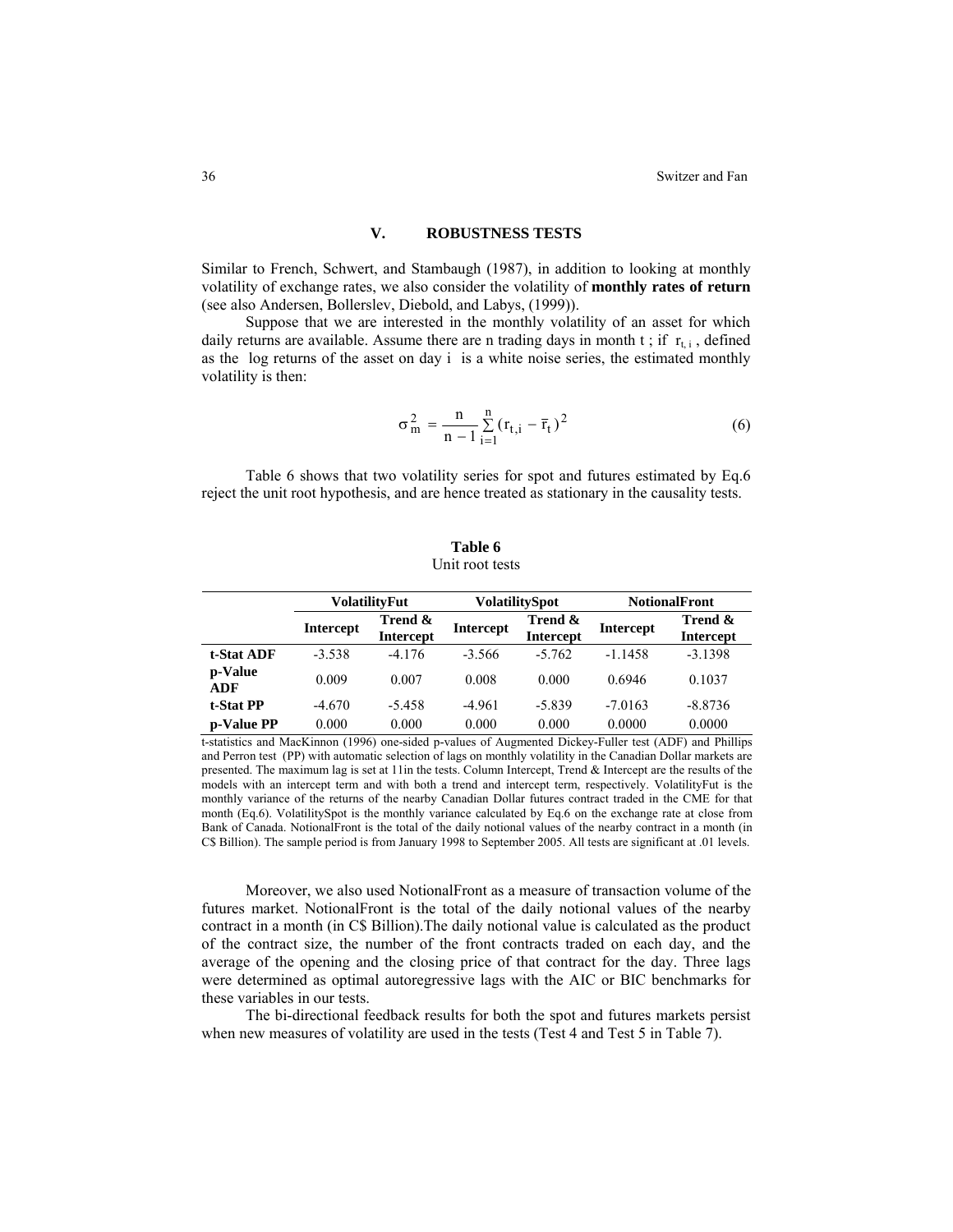## **V. ROBUSTNESS TESTS**

Similar to French, Schwert, and Stambaugh (1987), in addition to looking at monthly volatility of exchange rates, we also consider the volatility of **monthly rates of return** (see also Andersen, Bollerslev, Diebold, and Labys, (1999)).

Suppose that we are interested in the monthly volatility of an asset for which daily returns are available. Assume there are n trading days in month t; if  $r_{t,i}$ , defined as the log returns of the asset on day i is a white noise series, the estimated monthly volatility is then:

$$
\sigma_m^2 = \frac{n}{n-1} \sum_{i=1}^n (r_{t,i} - \bar{r}_t)^2
$$
 (6)

Table 6 shows that two volatility series for spot and futures estimated by Eq.6 reject the unit root hypothesis, and are hence treated as stationary in the causality tests.

|                | <b>VolatilityFut</b> |                             |                  | <b>VolatilitySpot</b>       | <b>NotionalFront</b> |                             |  |
|----------------|----------------------|-----------------------------|------------------|-----------------------------|----------------------|-----------------------------|--|
|                | <b>Intercept</b>     | Trend &<br><b>Intercept</b> | <b>Intercept</b> | Trend &<br><b>Intercept</b> | <b>Intercept</b>     | Trend &<br><b>Intercept</b> |  |
| t-Stat ADF     | $-3.538$             | $-4.176$                    | $-3.566$         | $-5.762$                    | $-1.1458$            | $-3.1398$                   |  |
| p-Value<br>ADF | 0.009                | 0.007                       | 0.008            | 0.000                       | 0.6946               | 0.1037                      |  |
| t-Stat PP      | $-4.670$             | $-5.458$                    | $-4.961$         | $-5.839$                    | $-7.0163$            | $-8.8736$                   |  |
| p-Value PP     | 0.000                | 0.000                       | 0.000            | 0.000                       | 0.0000               | 0.0000                      |  |

**Table 6**  Unit root tests

t-statistics and MacKinnon (1996) one-sided p-values of Augmented Dickey-Fuller test (ADF) and Phillips and Perron test (PP) with automatic selection of lags on monthly volatility in the Canadian Dollar markets are presented. The maximum lag is set at 11in the tests. Column Intercept, Trend & Intercept are the results of the models with an intercept term and with both a trend and intercept term, respectively. VolatilityFut is the monthly variance of the returns of the nearby Canadian Dollar futures contract traded in the CME for that month (Eq.6). VolatilitySpot is the monthly variance calculated by Eq.6 on the exchange rate at close from Bank of Canada. NotionalFront is the total of the daily notional values of the nearby contract in a month (in C\$ Billion). The sample period is from January 1998 to September 2005. All tests are significant at .01 levels.

Moreover, we also used NotionalFront as a measure of transaction volume of the futures market. NotionalFront is the total of the daily notional values of the nearby contract in a month (in C\$ Billion).The daily notional value is calculated as the product of the contract size, the number of the front contracts traded on each day, and the average of the opening and the closing price of that contract for the day. Three lags were determined as optimal autoregressive lags with the AIC or BIC benchmarks for these variables in our tests.

The bi-directional feedback results for both the spot and futures markets persist when new measures of volatility are used in the tests (Test 4 and Test 5 in Table 7).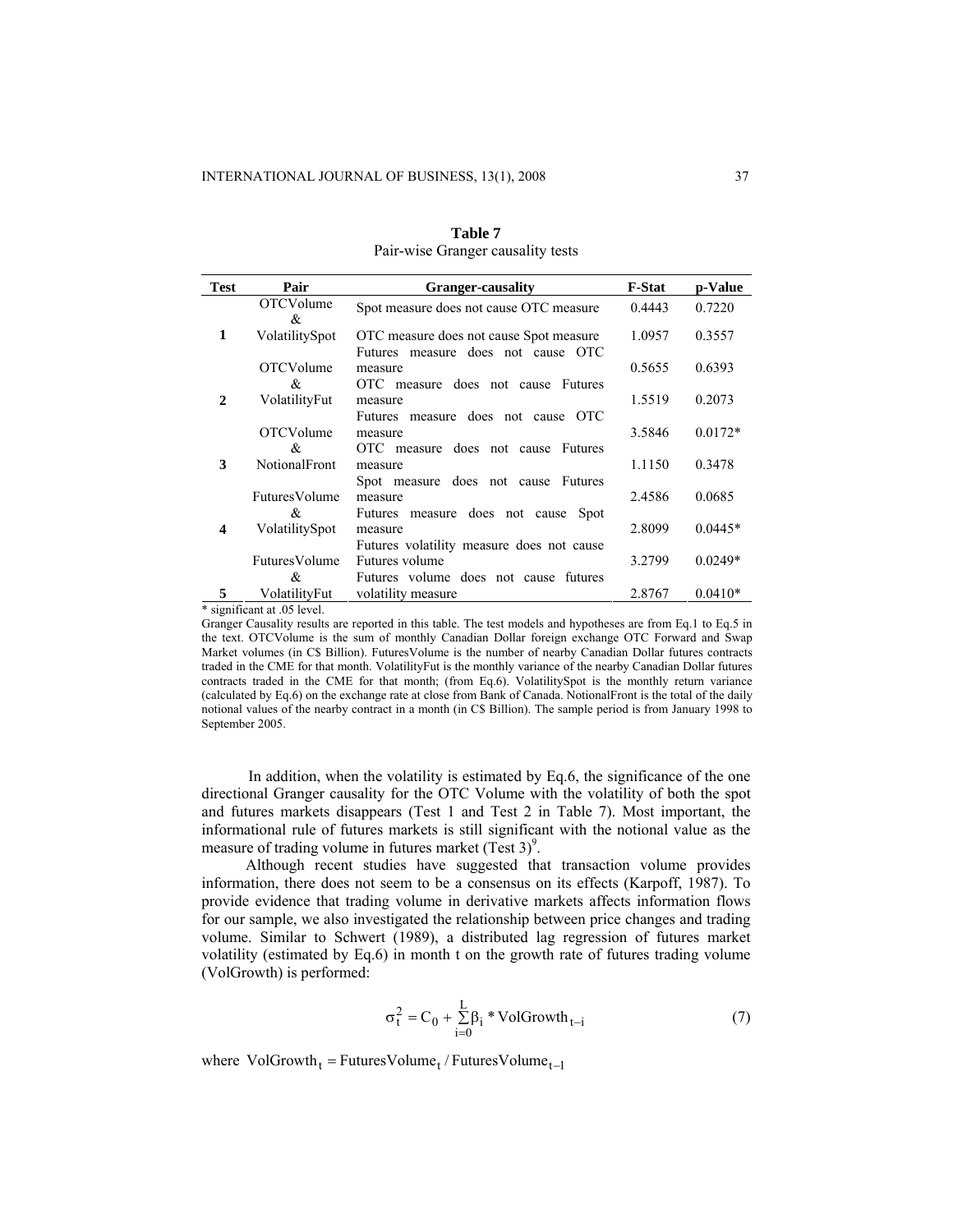| <b>Test</b>      | Pair                        | <b>Granger-causality</b>                                                      | <b>F-Stat</b> | p-Value   |
|------------------|-----------------------------|-------------------------------------------------------------------------------|---------------|-----------|
|                  | <b>OTCVolume</b><br>&       | Spot measure does not cause OTC measure                                       | 0.4443        | 0.7220    |
| 1                | VolatilitySpot              | OTC measure does not cause Spot measure<br>Futures measure does not cause OTC | 1.0957        | 0.3557    |
|                  | <b>OTCVolume</b><br>&       | measure<br>OTC measure does not cause Futures                                 | 0.5655        | 0.6393    |
| $\mathbf{2}$     | VolatilityFut               | measure<br>Futures measure does not cause OTC                                 | 1.5519        | 0.2073    |
|                  | <b>OTCVolume</b><br>&       | measure<br>OTC measure does not cause Futures                                 | 3.5846        | $0.0172*$ |
| 3                | <b>NotionalFront</b>        | measure<br>Spot measure does not cause Futures                                | 1.1150        | 0.3478    |
|                  | FuturesVolume<br>&          | measure<br>Futures measure does not cause<br><b>Spot</b>                      | 2.4586        | 0.0685    |
| $\boldsymbol{4}$ | VolatilitySpot              | measure<br>Futures volatility measure does not cause                          | 2.8099        | $0.0445*$ |
|                  | FuturesVolume<br>&          | Futures volume<br>Futures volume does not cause futures                       | 3.2799        | $0.0249*$ |
| 5                | VolatilityFut               | volatility measure                                                            | 2.8767        | $0.0410*$ |
|                  | * significant at .05 level. |                                                                               |               |           |

**Table 7**  Pair-wise Granger causality tests

Granger Causality results are reported in this table. The test models and hypotheses are from Eq.1 to Eq.5 in the text. OTCVolume is the sum of monthly Canadian Dollar foreign exchange OTC Forward and Swap Market volumes (in C\$ Billion). FuturesVolume is the number of nearby Canadian Dollar futures contracts traded in the CME for that month. VolatilityFut is the monthly variance of the nearby Canadian Dollar futures contracts traded in the CME for that month; (from Eq.6). VolatilitySpot is the monthly return variance (calculated by Eq.6) on the exchange rate at close from Bank of Canada. NotionalFront is the total of the daily notional values of the nearby contract in a month (in C\$ Billion). The sample period is from January 1998 to September 2005.

In addition, when the volatility is estimated by Eq.6, the significance of the one directional Granger causality for the OTC Volume with the volatility of both the spot and futures markets disappears (Test 1 and Test 2 in Table 7). Most important, the informational rule of futures markets is still significant with the notional value as the measure of trading volume in futures market  $(Test 3)^9$ .

Although recent studies have suggested that transaction volume provides information, there does not seem to be a consensus on its effects (Karpoff, 1987). To provide evidence that trading volume in derivative markets affects information flows for our sample, we also investigated the relationship between price changes and trading volume. Similar to Schwert (1989), a distributed lag regression of futures market volatility (estimated by Eq.6) in month t on the growth rate of futures trading volume (VolGrowth) is performed:

$$
\sigma_t^2 = C_0 + \sum_{i=0}^{L} \beta_i * \text{VolGrowth}_{t-i}
$$
 (7)

where  $VolGrowth_t = FuturesVolume_t / FuturesVolume_{t-1}$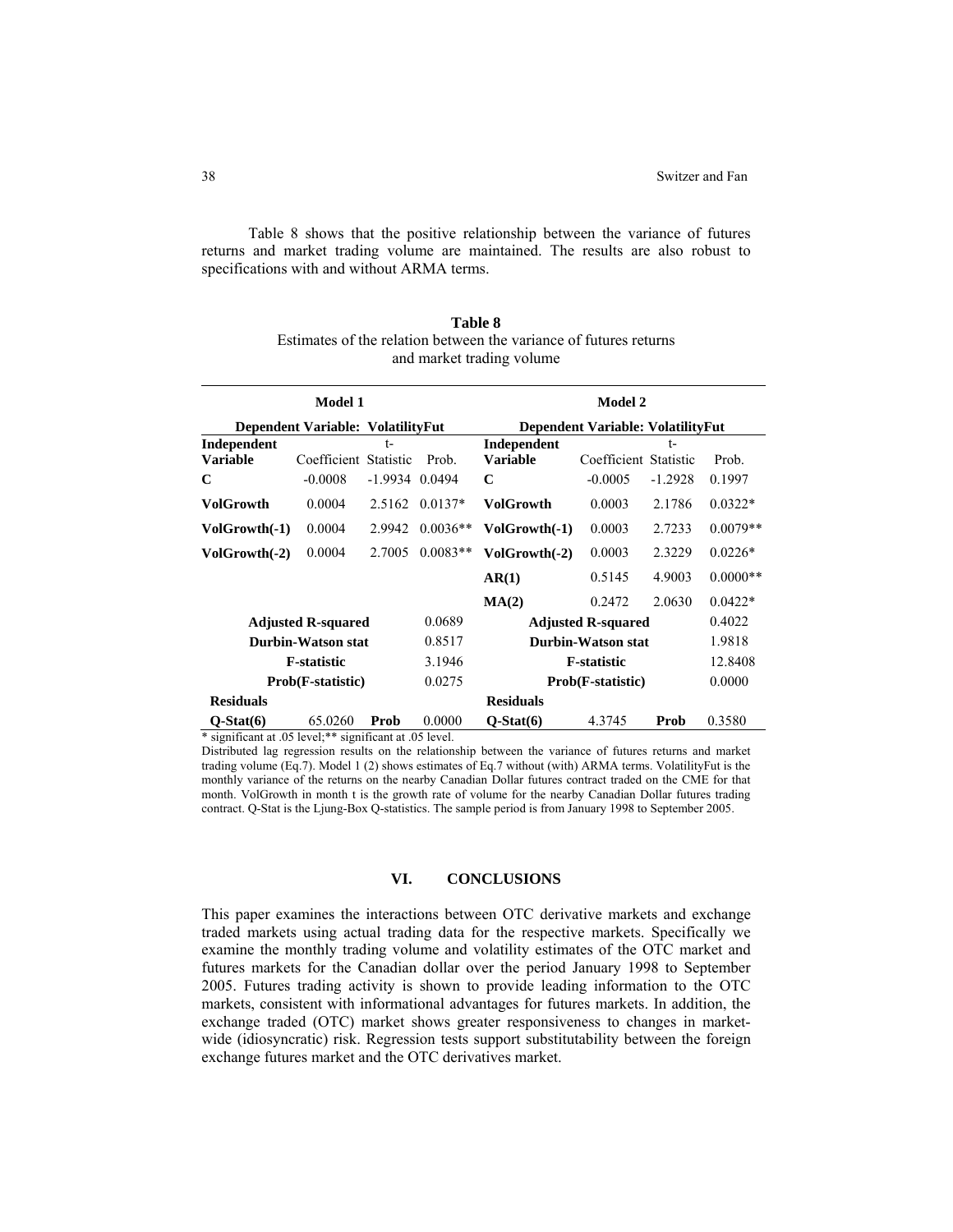Table 8 shows that the positive relationship between the variance of futures returns and market trading volume are maintained. The results are also robust to specifications with and without ARMA terms.

|                                   | <b>Model 1</b>            |                  |            |                           | <b>Model 2</b>                    |           |            |  |  |
|-----------------------------------|---------------------------|------------------|------------|---------------------------|-----------------------------------|-----------|------------|--|--|
| Dependent Variable: VolatilityFut |                           |                  |            |                           | Dependent Variable: VolatilityFut |           |            |  |  |
| Independent                       |                           | $t-$             |            | Independent               |                                   | $t-$      |            |  |  |
| <b>Variable</b>                   | Coefficient Statistic     |                  | Prob.      | <b>Variable</b>           | Coefficient Statistic             |           | Prob.      |  |  |
| C                                 | $-0.0008$                 | $-1.9934$ 0.0494 |            | C                         | $-0.0005$                         | $-1.2928$ | 0.1997     |  |  |
| <b>VolGrowth</b>                  | 0.0004                    | 2.5162           | $0.0137*$  | <b>VolGrowth</b>          | 0.0003                            | 2.1786    | $0.0322*$  |  |  |
| VolGrowth(-1)                     | 0.0004                    | 2.9942           | $0.0036**$ | VolGrowth(-1)             | 0.0003                            | 2.7233    | $0.0079**$ |  |  |
| VolGrowth(-2)                     | 0.0004                    | 2.7005           | $0.0083**$ | VolGrowth(-2)             | 0.0003                            | 2.3229    | $0.0226*$  |  |  |
|                                   |                           |                  |            | AR(1)                     | 0.5145                            | 4.9003    | $0.0000**$ |  |  |
|                                   |                           |                  |            | MA(2)                     | 0.2472                            | 2.0630    | $0.0422*$  |  |  |
|                                   | <b>Adjusted R-squared</b> |                  | 0.0689     | <b>Adjusted R-squared</b> |                                   |           | 0.4022     |  |  |
|                                   | Durbin-Watson stat        |                  | 0.8517     | <b>Durbin-Watson stat</b> |                                   |           | 1.9818     |  |  |
| <b>F-statistic</b><br>3.1946      |                           |                  |            | <b>F-statistic</b>        |                                   |           | 12.8408    |  |  |
| 0.0275<br>Prob(F-statistic)       |                           |                  |            | Prob(F-statistic)         |                                   | 0.0000    |            |  |  |
| <b>Residuals</b>                  |                           |                  |            | <b>Residuals</b>          |                                   |           |            |  |  |
| $Q-Stat(6)$                       | 65.0260                   | Prob             | 0.0000     | $O-Stat(6)$               | 4.3745                            | Prob      | 0.3580     |  |  |

**Table 8**  Estimates of the relation between the variance of futures returns and market trading volume

\* significant at .05 level;\*\* significant at .05 level.

Distributed lag regression results on the relationship between the variance of futures returns and market trading volume (Eq.7). Model 1 (2) shows estimates of Eq.7 without (with) ARMA terms. VolatilityFut is the monthly variance of the returns on the nearby Canadian Dollar futures contract traded on the CME for that month. VolGrowth in month t is the growth rate of volume for the nearby Canadian Dollar futures trading contract. Q-Stat is the Ljung-Box Q-statistics. The sample period is from January 1998 to September 2005.

#### **VI. CONCLUSIONS**

This paper examines the interactions between OTC derivative markets and exchange traded markets using actual trading data for the respective markets. Specifically we examine the monthly trading volume and volatility estimates of the OTC market and futures markets for the Canadian dollar over the period January 1998 to September 2005. Futures trading activity is shown to provide leading information to the OTC markets, consistent with informational advantages for futures markets. In addition, the exchange traded (OTC) market shows greater responsiveness to changes in marketwide (idiosyncratic) risk. Regression tests support substitutability between the foreign exchange futures market and the OTC derivatives market.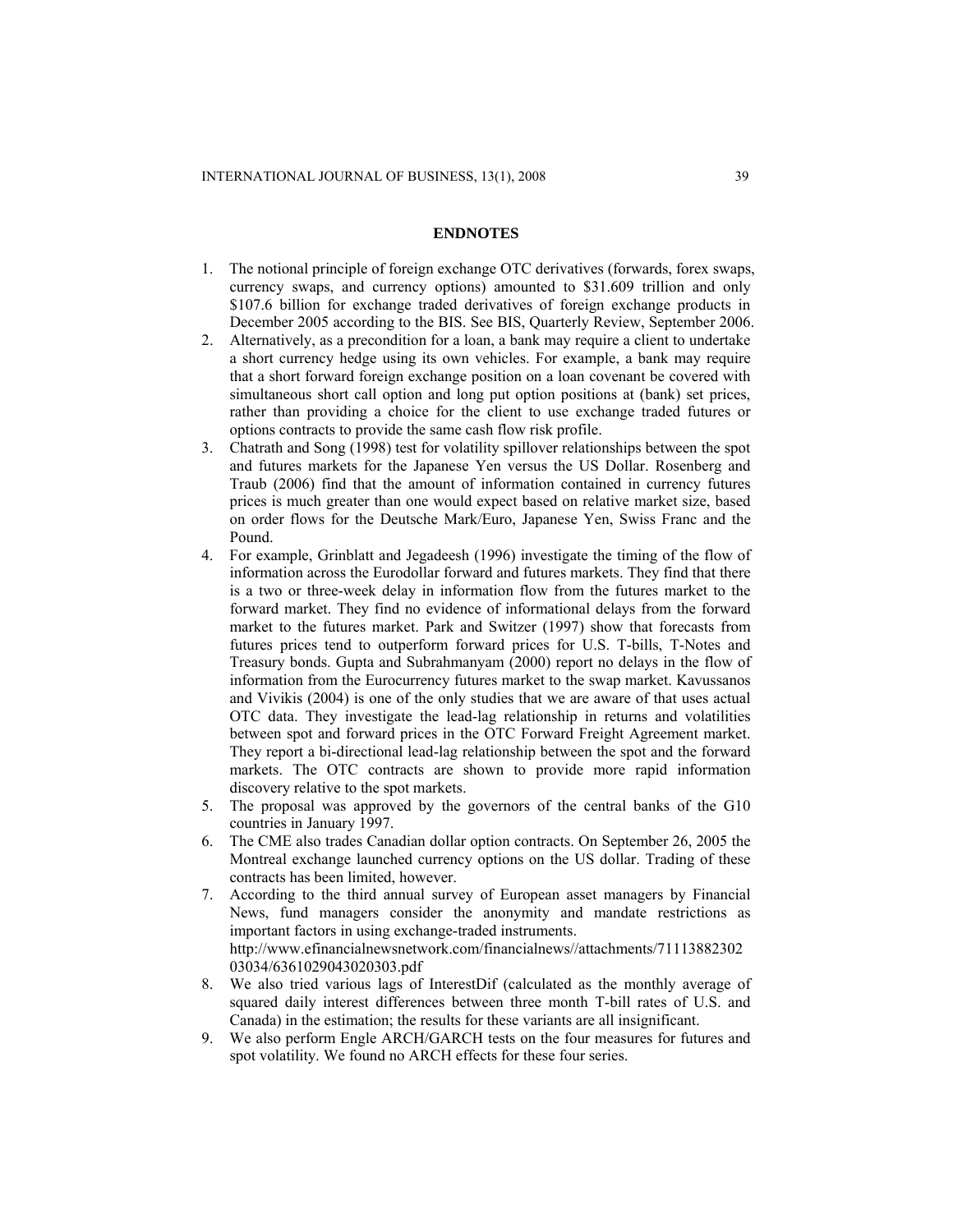### **ENDNOTES**

- 1. The notional principle of foreign exchange OTC derivatives (forwards, forex swaps, currency swaps, and currency options) amounted to \$31.609 trillion and only \$107.6 billion for exchange traded derivatives of foreign exchange products in December 2005 according to the BIS. See BIS, Quarterly Review, September 2006.
- 2. Alternatively, as a precondition for a loan, a bank may require a client to undertake a short currency hedge using its own vehicles. For example, a bank may require that a short forward foreign exchange position on a loan covenant be covered with simultaneous short call option and long put option positions at (bank) set prices, rather than providing a choice for the client to use exchange traded futures or options contracts to provide the same cash flow risk profile.
- 3. Chatrath and Song (1998) test for volatility spillover relationships between the spot and futures markets for the Japanese Yen versus the US Dollar. Rosenberg and Traub (2006) find that the amount of information contained in currency futures prices is much greater than one would expect based on relative market size, based on order flows for the Deutsche Mark/Euro, Japanese Yen, Swiss Franc and the Pound.
- 4. For example, Grinblatt and Jegadeesh (1996) investigate the timing of the flow of information across the Eurodollar forward and futures markets. They find that there is a two or three-week delay in information flow from the futures market to the forward market. They find no evidence of informational delays from the forward market to the futures market. Park and Switzer (1997) show that forecasts from futures prices tend to outperform forward prices for U.S. T-bills, T-Notes and Treasury bonds. Gupta and Subrahmanyam (2000) report no delays in the flow of information from the Eurocurrency futures market to the swap market. Kavussanos and Vivikis (2004) is one of the only studies that we are aware of that uses actual OTC data. They investigate the lead-lag relationship in returns and volatilities between spot and forward prices in the OTC Forward Freight Agreement market. They report a bi-directional lead-lag relationship between the spot and the forward markets. The OTC contracts are shown to provide more rapid information discovery relative to the spot markets.
- 5. The proposal was approved by the governors of the central banks of the G10 countries in January 1997.
- 6. The CME also trades Canadian dollar option contracts. On September 26, 2005 the Montreal exchange launched currency options on the US dollar. Trading of these contracts has been limited, however.
- 7. According to the third annual survey of European asset managers by Financial News, fund managers consider the anonymity and mandate restrictions as important factors in using exchange-traded instruments. [http://www.efinancialnewsnetwork.com/financialnews//attachments/71113882302](http://www.efinancialnewsnetwork.com/financialnews/attachments/7111388230203034/6361029043020303.pdf) [03034/6361029043020303.pdf](http://www.efinancialnewsnetwork.com/financialnews/attachments/7111388230203034/6361029043020303.pdf)
- 8. We also tried various lags of InterestDif (calculated as the monthly average of squared daily interest differences between three month T-bill rates of U.S. and Canada) in the estimation; the results for these variants are all insignificant.
- 9. We also perform Engle ARCH/GARCH tests on the four measures for futures and spot volatility. We found no ARCH effects for these four series.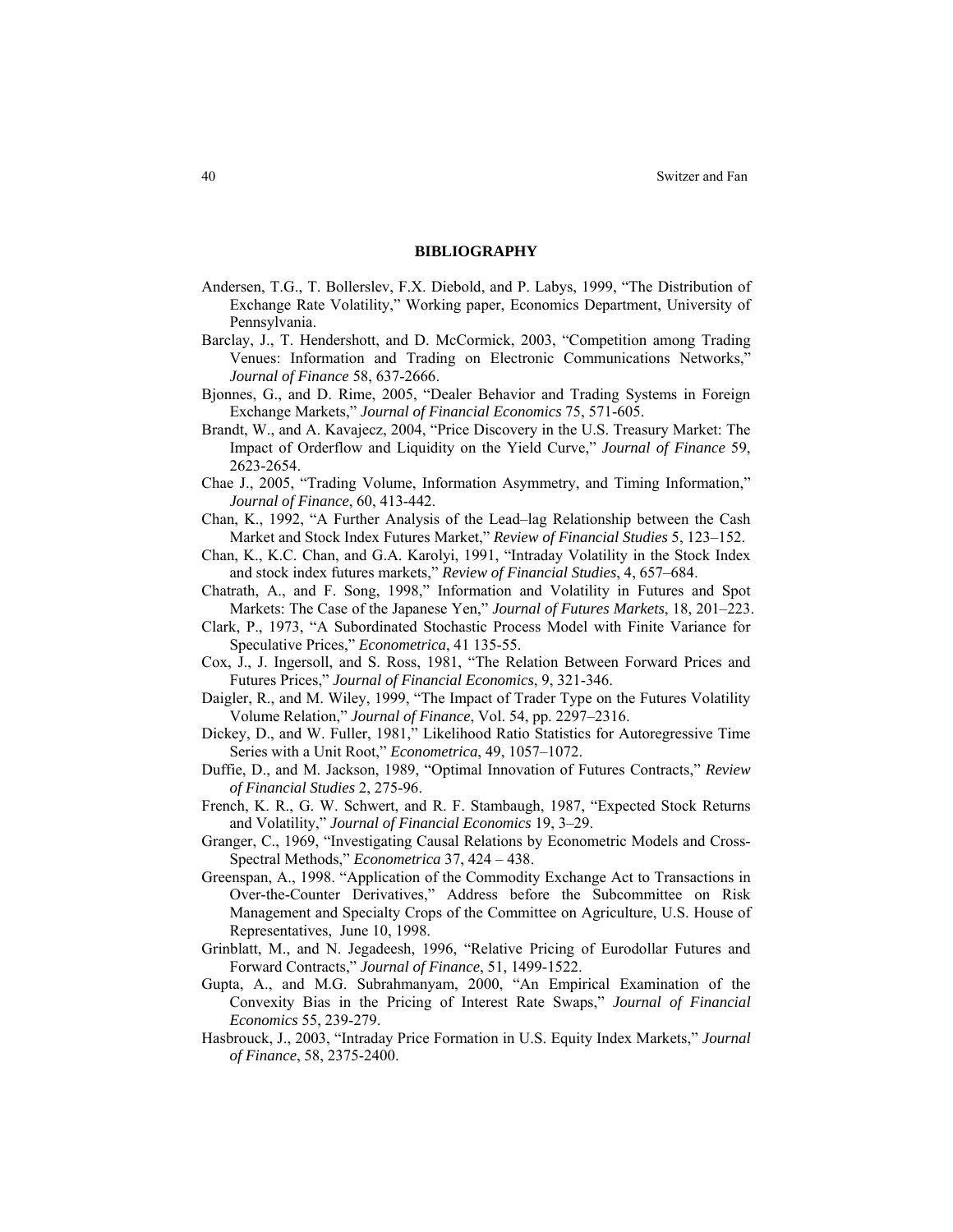#### **BIBLIOGRAPHY**

- Andersen, T.G., T. Bollerslev, F.X. Diebold, and P. Labys, 1999, "The Distribution of Exchange Rate Volatility," Working paper, Economics Department, University of Pennsylvania.
- Barclay, J., T. Hendershott, and D. McCormick, 2003, "Competition among Trading Venues: Information and Trading on Electronic Communications Networks," *Journal of Finance* 58, 637-2666.
- Bjonnes, G., and D. Rime, 2005, "Dealer Behavior and Trading Systems in Foreign Exchange Markets," *Journal of Financial Economics* 75, 571-605.
- Brandt, W., and A. Kavajecz, 2004, "Price Discovery in the U.S. Treasury Market: The Impact of Orderflow and Liquidity on the Yield Curve," *Journal of Finance* 59, 2623-2654.
- Chae J., 2005, "Trading Volume, Information Asymmetry, and Timing Information," *Journal of Finance*, 60, 413-442.
- Chan, K., 1992, "A Further Analysis of the Lead–lag Relationship between the Cash Market and Stock Index Futures Market," *Review of Financial Studies* 5, 123–152.
- Chan, K., K.C. Chan, and G.A. Karolyi, 1991, "Intraday Volatility in the Stock Index and stock index futures markets," *Review of Financial Studies*, 4, 657–684.
- Chatrath, A., and F. Song, 1998," Information and Volatility in Futures and Spot Markets: The Case of the Japanese Yen," *Journal of Futures Markets*, 18, 201–223.
- Clark, P., 1973, "A Subordinated Stochastic Process Model with Finite Variance for Speculative Prices," *Econometrica*, 41 135-55.
- Cox, J., J. Ingersoll, and S. Ross, 1981, "The Relation Between Forward Prices and Futures Prices," *Journal of Financial Economics*, 9, 321-346.
- Daigler, R., and M. Wiley, 1999, "The Impact of Trader Type on the Futures Volatility Volume Relation," *Journal of Finance*, Vol. 54, pp. 2297–2316.
- Dickey, D., and W. Fuller, 1981," Likelihood Ratio Statistics for Autoregressive Time Series with a Unit Root," *Econometrica*, 49, 1057–1072.
- Duffie, D., and M. Jackson, 1989, "Optimal Innovation of Futures Contracts," *Review of Financial Studies* 2, 275-96.
- French, K. R., G. W. Schwert, and R. F. Stambaugh, 1987, "Expected Stock Returns and Volatility," *Journal of Financial Economics* 19, 3–29.
- Granger, C., 1969, "Investigating Causal Relations by Econometric Models and Cross-Spectral Methods," *Econometrica* 37, 424 – 438.
- Greenspan, A., 1998. "Application of the Commodity Exchange Act to Transactions in Over-the-Counter Derivatives," Address before the Subcommittee on Risk Management and Specialty Crops of the Committee on Agriculture, U.S. House of Representatives, June 10, 1998.
- Grinblatt, M., and N. Jegadeesh, 1996, "Relative Pricing of Eurodollar Futures and Forward Contracts," *Journal of Finance*, 51, 1499-1522.
- Gupta, A., and M.G. Subrahmanyam, 2000, "An Empirical Examination of the Convexity Bias in the Pricing of Interest Rate Swaps," *Journal of Financial Economics* 55, 239-279.
- Hasbrouck, J., 2003, "Intraday Price Formation in U.S. Equity Index Markets," *Journal of Finance*, 58, 2375-2400.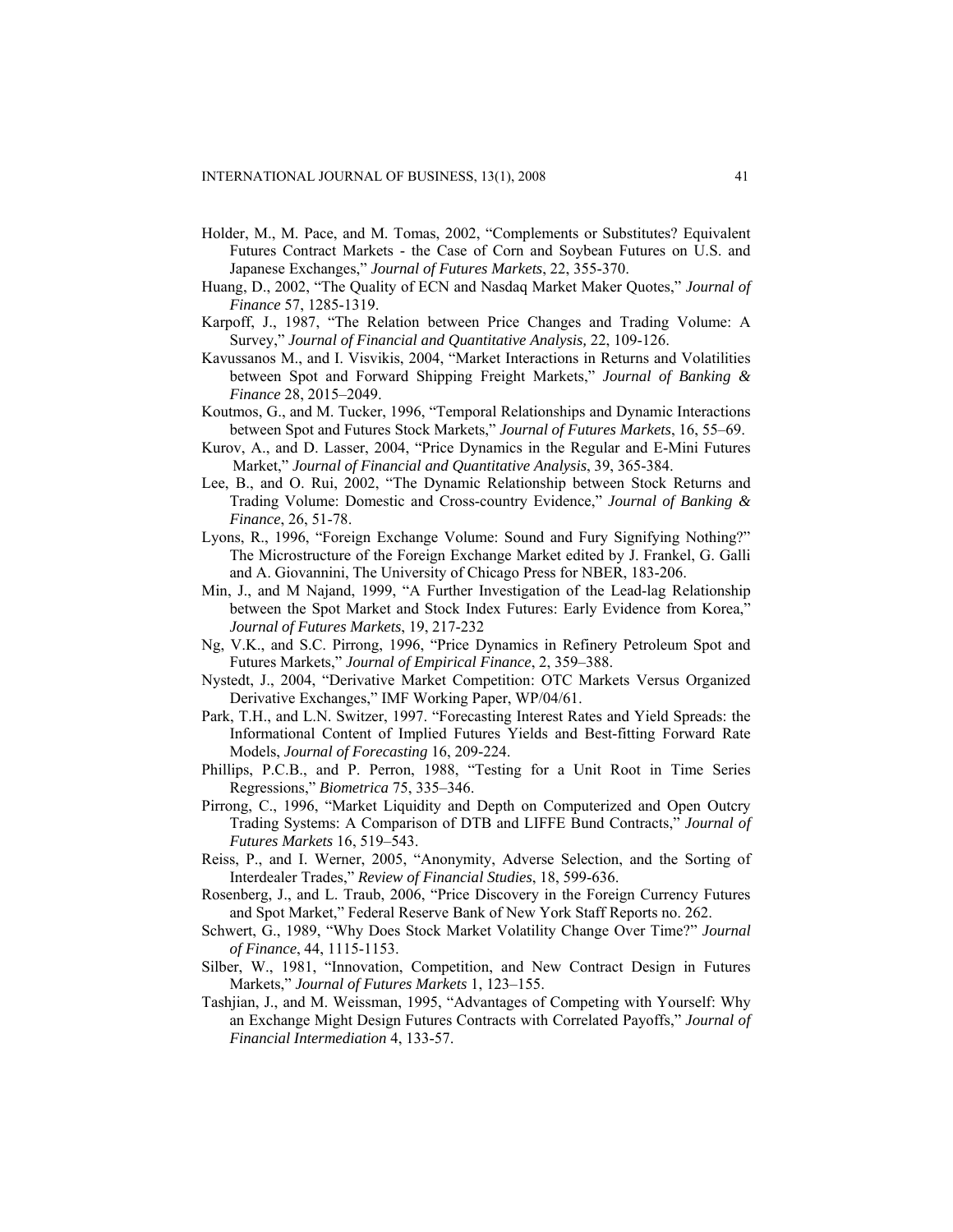- Holder, M., M. Pace, and M. Tomas, 2002, "Complements or Substitutes? Equivalent Futures Contract Markets - the Case of Corn and Soybean Futures on U.S. and Japanese Exchanges," *Journal of Futures Markets*, 22, 355-370.
- Huang, D., 2002, "The Quality of ECN and Nasdaq Market Maker Quotes," *Journal of Finance* 57, 1285-1319.
- Karpoff, J., 1987, "The Relation between Price Changes and Trading Volume: A Survey," *Journal of Financial and Quantitative Analysis,* 22, 109-126.
- Kavussanos M., and I. Visvikis, 2004, "Market Interactions in Returns and Volatilities between Spot and Forward Shipping Freight Markets," *Journal of Banking & Finance* 28, 2015–2049.
- Koutmos, G., and M. Tucker, 1996, "Temporal Relationships and Dynamic Interactions between Spot and Futures Stock Markets," *Journal of Futures Markets*, 16, 55–69.
- Kurov, A., and D. Lasser, 2004, "Price Dynamics in the Regular and E-Mini Futures Market," *Journal of Financial and Quantitative Analysis*, 39, 365-384.
- Lee, B., and O. Rui, 2002, "The Dynamic Relationship between Stock Returns and Trading Volume: Domestic and Cross-country Evidence," *Journal of Banking & Finance*, 26, 51-78.
- Lyons, R., 1996, "Foreign Exchange Volume: Sound and Fury Signifying Nothing?" The Microstructure of the Foreign Exchange Market edited by J. Frankel, G. Galli and A. Giovannini, The University of Chicago Press for NBER, 183-206.
- Min, J., and M Najand, 1999, "A Further Investigation of the Lead-lag Relationship between the Spot Market and Stock Index Futures: Early Evidence from Korea,' *Journal of Futures Markets*, 19, 217-232
- Ng, V.K., and S.C. Pirrong, 1996, "Price Dynamics in Refinery Petroleum Spot and Futures Markets," *Journal of Empirical Finance*, 2, 359–388.
- Nystedt, J., 2004, "Derivative Market Competition: OTC Markets Versus Organized Derivative Exchanges," IMF Working Paper, WP/04/61.
- Park, T.H., and L.N. Switzer, 1997. "Forecasting Interest Rates and Yield Spreads: the Informational Content of Implied Futures Yields and Best-fitting Forward Rate Models, *Journal of Forecasting* 16, 209-224.
- Phillips, P.C.B., and P. Perron, 1988, "Testing for a Unit Root in Time Series Regressions," *Biometrica* 75, 335–346.
- Pirrong, C., 1996, "Market Liquidity and Depth on Computerized and Open Outcry Trading Systems: A Comparison of DTB and LIFFE Bund Contracts," *Journal of Futures Markets* 16, 519–543.
- Reiss, P., and I. Werner, 2005, "Anonymity, Adverse Selection, and the Sorting of Interdealer Trades," *Review of Financial Studies*, 18, 599-636.
- Rosenberg, J., and L. Traub, 2006, "Price Discovery in the Foreign Currency Futures and Spot Market," Federal Reserve Bank of New York Staff Reports no. 262.
- Schwert, G., 1989, "Why Does Stock Market Volatility Change Over Time?" *Journal of Finance*, 44, 1115-1153.
- Silber, W., 1981, "Innovation, Competition, and New Contract Design in Futures Markets," *Journal of Futures Markets* 1, 123–155.
- Tashjian, J., and M. Weissman, 1995, "Advantages of Competing with Yourself: Why an Exchange Might Design Futures Contracts with Correlated Payoffs," *Journal of Financial Intermediation* 4, 133-57.